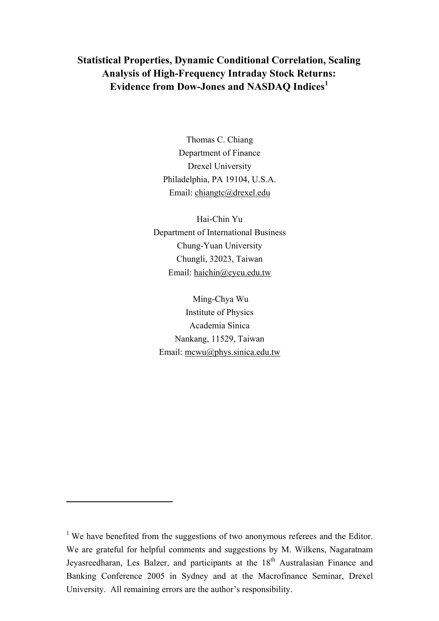# **Statistical Properties, Dynamic Conditional Correlation, Scaling Analysis of High-Frequency Intraday Stock Returns: Evidence from Dow-Jones and NASDAQ Indices<sup>1</sup>**

Thomas C. Chiang Department of Finance Drexel University Philadelphia, PA 19104, U.S.A. Email: chiangtc@drexel.edu

Hai-Chin Yu Department of International Business Chung-Yuan University Chungli, 32023, Taiwan Email: haichin@cycu.edu.tw

 Ming-Chya Wu Institute of Physics Academia Sinica Nankang, 11529, Taiwan Email: mcwu@phys.sinica.edu.tw

 $\overline{a}$ 

<sup>&</sup>lt;sup>1</sup> We have benefited from the suggestions of two anonymous referees and the Editor. We are grateful for helpful comments and suggestions by M. Wilkens, Nagaratnam Jeyasreedharan, Les Balzer, and participants at the 18<sup>th</sup> Australasian Finance and Banking Conference 2005 in Sydney and at the Macrofinance Seminar, Drexel University. All remaining errors are the author's responsibility.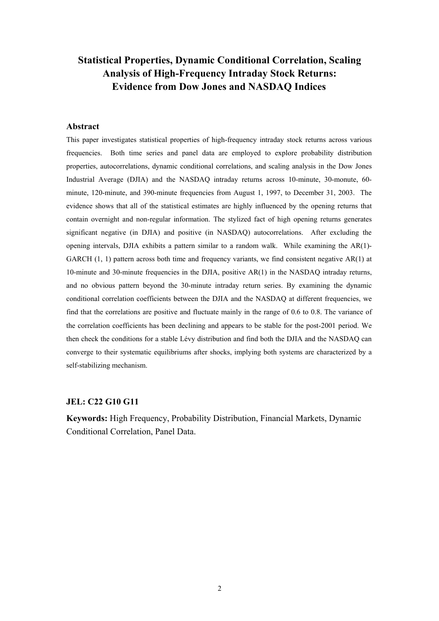# **Statistical Properties, Dynamic Conditional Correlation, Scaling Analysis of High-Frequency Intraday Stock Returns: Evidence from Dow Jones and NASDAQ Indices**

#### **Abstract**

This paper investigates statistical properties of high-frequency intraday stock returns across various frequencies. Both time series and panel data are employed to explore probability distribution properties, autocorrelations, dynamic conditional correlations, and scaling analysis in the Dow Jones Industrial Average (DJIA) and the NASDAQ intraday returns across 10-minute, 30-monute, 60 minute, 120-minute, and 390-minute frequencies from August 1, 1997, to December 31, 2003. The evidence shows that all of the statistical estimates are highly influenced by the opening returns that contain overnight and non-regular information. The stylized fact of high opening returns generates significant negative (in DJIA) and positive (in NASDAQ) autocorrelations. After excluding the opening intervals, DJIA exhibits a pattern similar to a random walk. While examining the AR(1)- GARCH  $(1, 1)$  pattern across both time and frequency variants, we find consistent negative AR $(1)$  at 10-minute and 30-minute frequencies in the DJIA, positive AR(1) in the NASDAQ intraday returns, and no obvious pattern beyond the 30-minute intraday return series. By examining the dynamic conditional correlation coefficients between the DJIA and the NASDAQ at different frequencies, we find that the correlations are positive and fluctuate mainly in the range of 0.6 to 0.8. The variance of the correlation coefficients has been declining and appears to be stable for the post-2001 period. We then check the conditions for a stable Lévy distribution and find both the DJIA and the NASDAQ can converge to their systematic equilibriums after shocks, implying both systems are characterized by a self-stabilizing mechanism.

#### **JEL: C22 G10 G11**

**Keywords:** High Frequency, Probability Distribution, Financial Markets, Dynamic Conditional Correlation, Panel Data.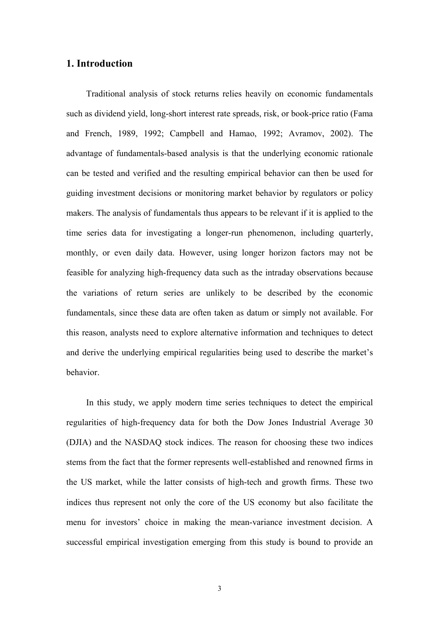# **1. Introduction**

Traditional analysis of stock returns relies heavily on economic fundamentals such as dividend yield, long-short interest rate spreads, risk, or book-price ratio (Fama and French, 1989, 1992; Campbell and Hamao, 1992; Avramov, 2002). The advantage of fundamentals-based analysis is that the underlying economic rationale can be tested and verified and the resulting empirical behavior can then be used for guiding investment decisions or monitoring market behavior by regulators or policy makers. The analysis of fundamentals thus appears to be relevant if it is applied to the time series data for investigating a longer-run phenomenon, including quarterly, monthly, or even daily data. However, using longer horizon factors may not be feasible for analyzing high-frequency data such as the intraday observations because the variations of return series are unlikely to be described by the economic fundamentals, since these data are often taken as datum or simply not available. For this reason, analysts need to explore alternative information and techniques to detect and derive the underlying empirical regularities being used to describe the market's behavior.

In this study, we apply modern time series techniques to detect the empirical regularities of high-frequency data for both the Dow Jones Industrial Average 30 (DJIA) and the NASDAQ stock indices. The reason for choosing these two indices stems from the fact that the former represents well-established and renowned firms in the US market, while the latter consists of high-tech and growth firms. These two indices thus represent not only the core of the US economy but also facilitate the menu for investors' choice in making the mean-variance investment decision. A successful empirical investigation emerging from this study is bound to provide an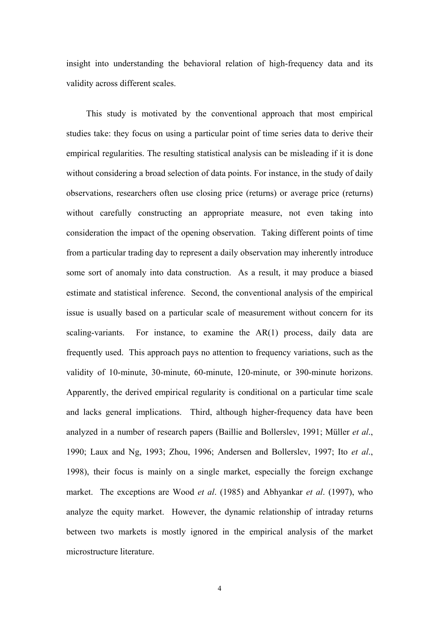insight into understanding the behavioral relation of high-frequency data and its validity across different scales.

This study is motivated by the conventional approach that most empirical studies take: they focus on using a particular point of time series data to derive their empirical regularities. The resulting statistical analysis can be misleading if it is done without considering a broad selection of data points. For instance, in the study of daily observations, researchers often use closing price (returns) or average price (returns) without carefully constructing an appropriate measure, not even taking into consideration the impact of the opening observation. Taking different points of time from a particular trading day to represent a daily observation may inherently introduce some sort of anomaly into data construction. As a result, it may produce a biased estimate and statistical inference. Second, the conventional analysis of the empirical issue is usually based on a particular scale of measurement without concern for its scaling-variants. For instance, to examine the AR(1) process, daily data are frequently used. This approach pays no attention to frequency variations, such as the validity of 10-minute, 30-minute, 60-minute, 120-minute, or 390-minute horizons. Apparently, the derived empirical regularity is conditional on a particular time scale and lacks general implications. Third, although higher-frequency data have been analyzed in a number of research papers (Baillie and Bollerslev, 1991; Müller *et al*., 1990; Laux and Ng, 1993; Zhou, 1996; Andersen and Bollerslev, 1997; Ito *et al*., 1998), their focus is mainly on a single market, especially the foreign exchange market. The exceptions are Wood *et al*. (1985) and Abhyankar *et al*. (1997), who analyze the equity market. However, the dynamic relationship of intraday returns between two markets is mostly ignored in the empirical analysis of the market microstructure literature.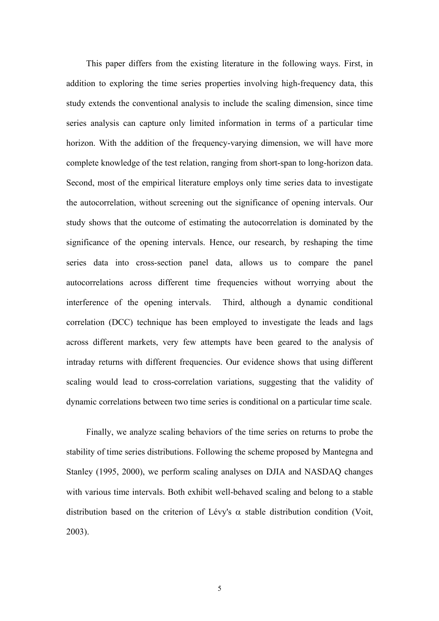This paper differs from the existing literature in the following ways. First, in addition to exploring the time series properties involving high-frequency data, this study extends the conventional analysis to include the scaling dimension, since time series analysis can capture only limited information in terms of a particular time horizon. With the addition of the frequency-varying dimension, we will have more complete knowledge of the test relation, ranging from short-span to long-horizon data. Second, most of the empirical literature employs only time series data to investigate the autocorrelation, without screening out the significance of opening intervals. Our study shows that the outcome of estimating the autocorrelation is dominated by the significance of the opening intervals. Hence, our research, by reshaping the time series data into cross-section panel data, allows us to compare the panel autocorrelations across different time frequencies without worrying about the interference of the opening intervals. Third, although a dynamic conditional correlation (DCC) technique has been employed to investigate the leads and lags across different markets, very few attempts have been geared to the analysis of intraday returns with different frequencies. Our evidence shows that using different scaling would lead to cross-correlation variations, suggesting that the validity of dynamic correlations between two time series is conditional on a particular time scale.

Finally, we analyze scaling behaviors of the time series on returns to probe the stability of time series distributions. Following the scheme proposed by Mantegna and Stanley (1995, 2000), we perform scaling analyses on DJIA and NASDAQ changes with various time intervals. Both exhibit well-behaved scaling and belong to a stable distribution based on the criterion of Lévy's  $\alpha$  stable distribution condition (Voit, 2003).

5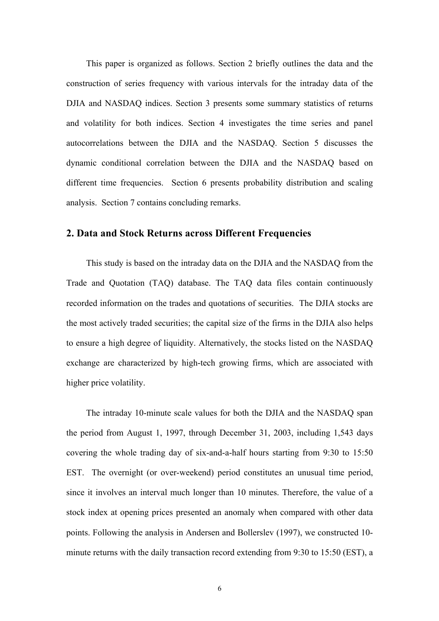This paper is organized as follows. Section 2 briefly outlines the data and the construction of series frequency with various intervals for the intraday data of the DJIA and NASDAQ indices. Section 3 presents some summary statistics of returns and volatility for both indices. Section 4 investigates the time series and panel autocorrelations between the DJIA and the NASDAQ. Section 5 discusses the dynamic conditional correlation between the DJIA and the NASDAQ based on different time frequencies. Section 6 presents probability distribution and scaling analysis. Section 7 contains concluding remarks.

## **2. Data and Stock Returns across Different Frequencies**

This study is based on the intraday data on the DJIA and the NASDAQ from the Trade and Quotation (TAQ) database. The TAQ data files contain continuously recorded information on the trades and quotations of securities. The DJIA stocks are the most actively traded securities; the capital size of the firms in the DJIA also helps to ensure a high degree of liquidity. Alternatively, the stocks listed on the NASDAQ exchange are characterized by high-tech growing firms, which are associated with higher price volatility.

The intraday 10-minute scale values for both the DJIA and the NASDAQ span the period from August 1, 1997, through December 31, 2003, including 1,543 days covering the whole trading day of six-and-a-half hours starting from 9:30 to 15:50 EST. The overnight (or over-weekend) period constitutes an unusual time period, since it involves an interval much longer than 10 minutes. Therefore, the value of a stock index at opening prices presented an anomaly when compared with other data points. Following the analysis in Andersen and Bollerslev (1997), we constructed 10 minute returns with the daily transaction record extending from 9:30 to 15:50 (EST), a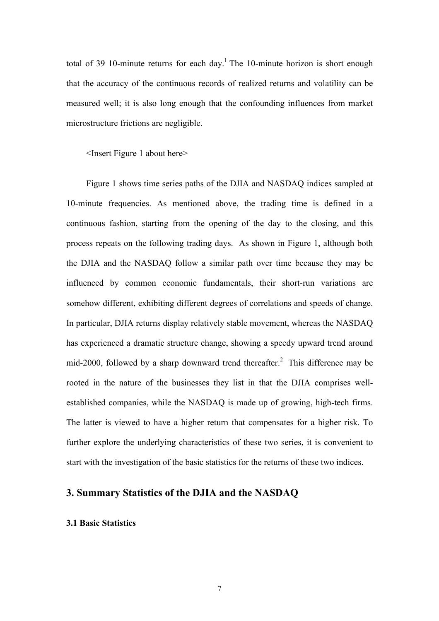total of 39 10-minute returns for each day.<sup>1</sup> The 10-minute horizon is short enough that the accuracy of the continuous records of realized returns and volatility can be measured well; it is also long enough that the confounding influences from market microstructure frictions are negligible.

<Insert Figure 1 about here>

Figure 1 shows time series paths of the DJIA and NASDAQ indices sampled at 10-minute frequencies. As mentioned above, the trading time is defined in a continuous fashion, starting from the opening of the day to the closing, and this process repeats on the following trading days. As shown in Figure 1, although both the DJIA and the NASDAQ follow a similar path over time because they may be influenced by common economic fundamentals, their short-run variations are somehow different, exhibiting different degrees of correlations and speeds of change. In particular, DJIA returns display relatively stable movement, whereas the NASDAQ has experienced a dramatic structure change, showing a speedy upward trend around mid-2000, followed by a sharp downward trend thereafter.<sup>2</sup> This difference may be rooted in the nature of the businesses they list in that the DJIA comprises wellestablished companies, while the NASDAQ is made up of growing, high-tech firms. The latter is viewed to have a higher return that compensates for a higher risk. To further explore the underlying characteristics of these two series, it is convenient to start with the investigation of the basic statistics for the returns of these two indices.

# **3. Summary Statistics of the DJIA and the NASDAQ**

#### **3.1 Basic Statistics**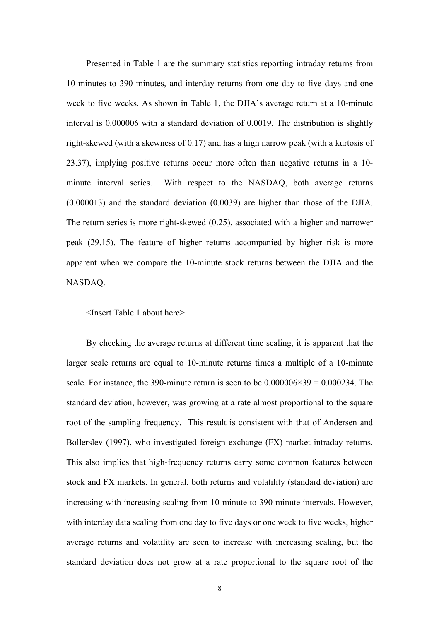Presented in Table 1 are the summary statistics reporting intraday returns from 10 minutes to 390 minutes, and interday returns from one day to five days and one week to five weeks. As shown in Table 1, the DJIA's average return at a 10-minute interval is 0.000006 with a standard deviation of 0.0019. The distribution is slightly right-skewed (with a skewness of 0.17) and has a high narrow peak (with a kurtosis of 23.37), implying positive returns occur more often than negative returns in a 10 minute interval series. With respect to the NASDAQ, both average returns (0.000013) and the standard deviation (0.0039) are higher than those of the DJIA. The return series is more right-skewed (0.25), associated with a higher and narrower peak (29.15). The feature of higher returns accompanied by higher risk is more apparent when we compare the 10-minute stock returns between the DJIA and the NASDAQ.

<Insert Table 1 about here>

By checking the average returns at different time scaling, it is apparent that the larger scale returns are equal to 10-minute returns times a multiple of a 10-minute scale. For instance, the 390-minute return is seen to be  $0.000006 \times 39 = 0.000234$ . The standard deviation, however, was growing at a rate almost proportional to the square root of the sampling frequency. This result is consistent with that of Andersen and Bollerslev (1997), who investigated foreign exchange (FX) market intraday returns. This also implies that high-frequency returns carry some common features between stock and FX markets. In general, both returns and volatility (standard deviation) are increasing with increasing scaling from 10-minute to 390-minute intervals. However, with interday data scaling from one day to five days or one week to five weeks, higher average returns and volatility are seen to increase with increasing scaling, but the standard deviation does not grow at a rate proportional to the square root of the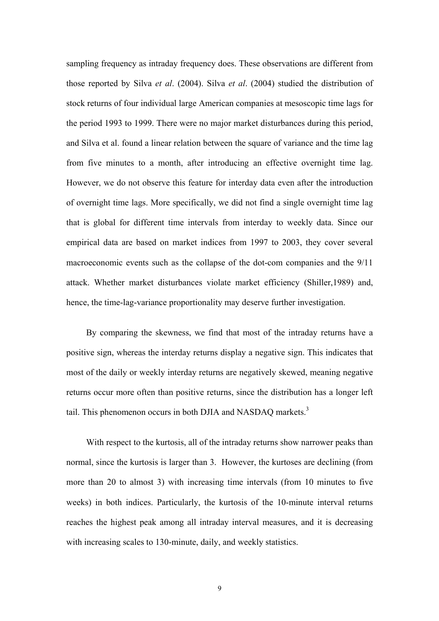sampling frequency as intraday frequency does. These observations are different from those reported by Silva *et al*. (2004). Silva *et al*. (2004) studied the distribution of stock returns of four individual large American companies at mesoscopic time lags for the period 1993 to 1999. There were no major market disturbances during this period, and Silva et al. found a linear relation between the square of variance and the time lag from five minutes to a month, after introducing an effective overnight time lag. However, we do not observe this feature for interday data even after the introduction of overnight time lags. More specifically, we did not find a single overnight time lag that is global for different time intervals from interday to weekly data. Since our empirical data are based on market indices from 1997 to 2003, they cover several macroeconomic events such as the collapse of the dot-com companies and the 9/11 attack. Whether market disturbances violate market efficiency (Shiller,1989) and, hence, the time-lag-variance proportionality may deserve further investigation.

By comparing the skewness, we find that most of the intraday returns have a positive sign, whereas the interday returns display a negative sign. This indicates that most of the daily or weekly interday returns are negatively skewed, meaning negative returns occur more often than positive returns, since the distribution has a longer left tail. This phenomenon occurs in both DJIA and NASDAQ markets.<sup>3</sup>

With respect to the kurtosis, all of the intraday returns show narrower peaks than normal, since the kurtosis is larger than 3. However, the kurtoses are declining (from more than 20 to almost 3) with increasing time intervals (from 10 minutes to five weeks) in both indices. Particularly, the kurtosis of the 10-minute interval returns reaches the highest peak among all intraday interval measures, and it is decreasing with increasing scales to 130-minute, daily, and weekly statistics.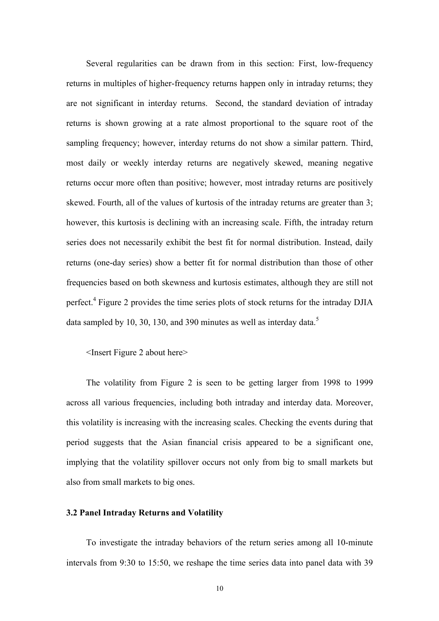Several regularities can be drawn from in this section: First, low-frequency returns in multiples of higher-frequency returns happen only in intraday returns; they are not significant in interday returns. Second, the standard deviation of intraday returns is shown growing at a rate almost proportional to the square root of the sampling frequency; however, interday returns do not show a similar pattern. Third, most daily or weekly interday returns are negatively skewed, meaning negative returns occur more often than positive; however, most intraday returns are positively skewed. Fourth, all of the values of kurtosis of the intraday returns are greater than 3; however, this kurtosis is declining with an increasing scale. Fifth, the intraday return series does not necessarily exhibit the best fit for normal distribution. Instead, daily returns (one-day series) show a better fit for normal distribution than those of other frequencies based on both skewness and kurtosis estimates, although they are still not perfect.<sup>4</sup> Figure 2 provides the time series plots of stock returns for the intraday DJIA data sampled by 10, 30, 130, and 390 minutes as well as interday data.<sup>5</sup>

### <Insert Figure 2 about here>

The volatility from Figure 2 is seen to be getting larger from 1998 to 1999 across all various frequencies, including both intraday and interday data. Moreover, this volatility is increasing with the increasing scales. Checking the events during that period suggests that the Asian financial crisis appeared to be a significant one, implying that the volatility spillover occurs not only from big to small markets but also from small markets to big ones.

#### **3.2 Panel Intraday Returns and Volatility**

To investigate the intraday behaviors of the return series among all 10-minute intervals from 9:30 to 15:50, we reshape the time series data into panel data with 39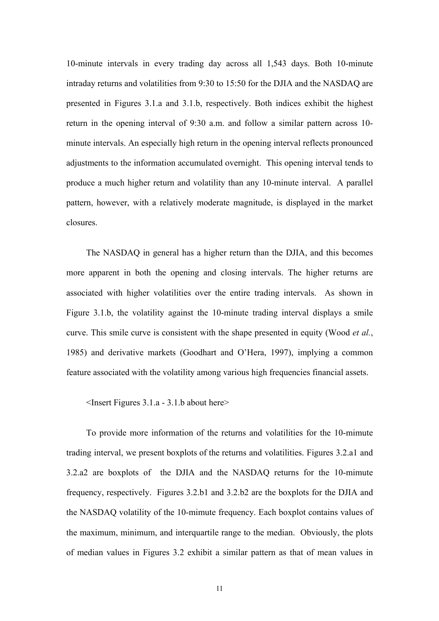10-minute intervals in every trading day across all 1,543 days. Both 10-minute intraday returns and volatilities from 9:30 to 15:50 for the DJIA and the NASDAQ are presented in Figures 3.1.a and 3.1.b, respectively. Both indices exhibit the highest return in the opening interval of 9:30 a.m. and follow a similar pattern across 10 minute intervals. An especially high return in the opening interval reflects pronounced adjustments to the information accumulated overnight. This opening interval tends to produce a much higher return and volatility than any 10-minute interval. A parallel pattern, however, with a relatively moderate magnitude, is displayed in the market closures.

The NASDAQ in general has a higher return than the DJIA, and this becomes more apparent in both the opening and closing intervals. The higher returns are associated with higher volatilities over the entire trading intervals. As shown in Figure 3.1.b, the volatility against the 10-minute trading interval displays a smile curve. This smile curve is consistent with the shape presented in equity (Wood *et al.*, 1985) and derivative markets (Goodhart and O'Hera, 1997), implying a common feature associated with the volatility among various high frequencies financial assets.

<Insert Figures 3.1.a - 3.1.b about here>

To provide more information of the returns and volatilities for the 10-mimute trading interval, we present boxplots of the returns and volatilities. Figures 3.2.a1 and 3.2.a2 are boxplots of the DJIA and the NASDAQ returns for the 10-mimute frequency, respectively. Figures 3.2.b1 and 3.2.b2 are the boxplots for the DJIA and the NASDAQ volatility of the 10-mimute frequency. Each boxplot contains values of the maximum, minimum, and interquartile range to the median. Obviously, the plots of median values in Figures 3.2 exhibit a similar pattern as that of mean values in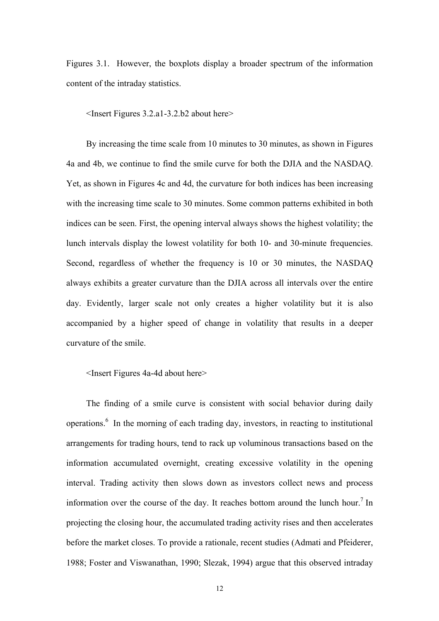Figures 3.1. However, the boxplots display a broader spectrum of the information content of the intraday statistics.

<Insert Figures 3.2.a1-3.2.b2 about here>

By increasing the time scale from 10 minutes to 30 minutes, as shown in Figures 4a and 4b, we continue to find the smile curve for both the DJIA and the NASDAQ. Yet, as shown in Figures 4c and 4d, the curvature for both indices has been increasing with the increasing time scale to 30 minutes. Some common patterns exhibited in both indices can be seen. First, the opening interval always shows the highest volatility; the lunch intervals display the lowest volatility for both 10- and 30-minute frequencies. Second, regardless of whether the frequency is 10 or 30 minutes, the NASDAQ always exhibits a greater curvature than the DJIA across all intervals over the entire day. Evidently, larger scale not only creates a higher volatility but it is also accompanied by a higher speed of change in volatility that results in a deeper curvature of the smile.

<Insert Figures 4a-4d about here>

The finding of a smile curve is consistent with social behavior during daily operations.<sup>6</sup> In the morning of each trading day, investors, in reacting to institutional arrangements for trading hours, tend to rack up voluminous transactions based on the information accumulated overnight, creating excessive volatility in the opening interval. Trading activity then slows down as investors collect news and process information over the course of the day. It reaches bottom around the lunch hour.<sup>7</sup> In projecting the closing hour, the accumulated trading activity rises and then accelerates before the market closes. To provide a rationale, recent studies (Admati and Pfeiderer, 1988; Foster and Viswanathan, 1990; Slezak, 1994) argue that this observed intraday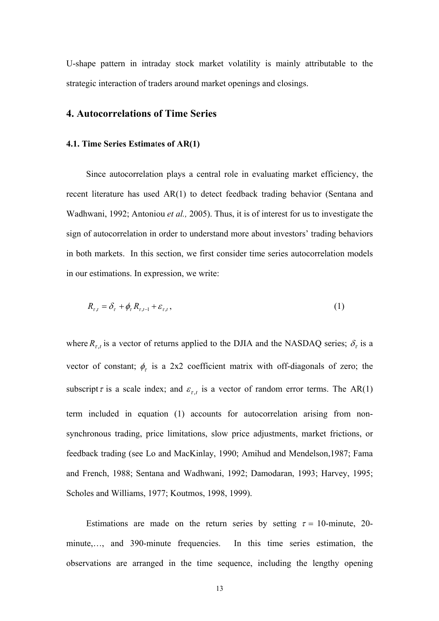U-shape pattern in intraday stock market volatility is mainly attributable to the strategic interaction of traders around market openings and closings.

### **4. Autocorrelations of Time Series**

#### **4.1. Time Series Estima**t**es of AR(1)**

Since autocorrelation plays a central role in evaluating market efficiency, the recent literature has used AR(1) to detect feedback trading behavior (Sentana and Wadhwani, 1992; Antoniou *et al.,* 2005). Thus, it is of interest for us to investigate the sign of autocorrelation in order to understand more about investors' trading behaviors in both markets. In this section, we first consider time series autocorrelation models in our estimations. In expression, we write:

$$
R_{\tau,t} = \delta_{\tau} + \phi_{\tau} R_{\tau,t-1} + \varepsilon_{\tau,t}, \qquad (1)
$$

where  $R_{\tau,t}$  is a vector of returns applied to the DJIA and the NASDAQ series;  $\delta_{\tau}$  is a vector of constant;  $\phi_r$  is a 2x2 coefficient matrix with off-diagonals of zero; the subscript  $\tau$  is a scale index; and  $\varepsilon_{\tau,t}$  is a vector of random error terms. The AR(1) term included in equation (1) accounts for autocorrelation arising from nonsynchronous trading, price limitations, slow price adjustments, market frictions, or feedback trading (see Lo and MacKinlay, 1990; Amihud and Mendelson,1987; Fama and French, 1988; Sentana and Wadhwani, 1992; Damodaran, 1993; Harvey, 1995; Scholes and Williams, 1977; Koutmos, 1998, 1999).

Estimations are made on the return series by setting  $\tau = 10$ -minute, 20minute,…, and 390-minute frequencies. In this time series estimation, the observations are arranged in the time sequence, including the lengthy opening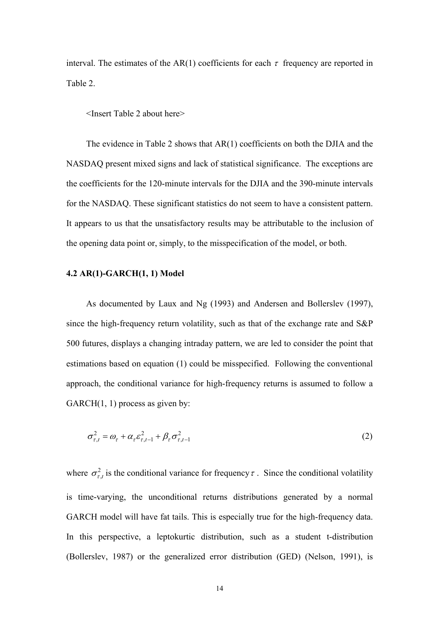interval. The estimates of the AR(1) coefficients for each  $\tau$  frequency are reported in Table 2.

<Insert Table 2 about here>

The evidence in Table 2 shows that AR(1) coefficients on both the DJIA and the NASDAQ present mixed signs and lack of statistical significance. The exceptions are the coefficients for the 120-minute intervals for the DJIA and the 390-minute intervals for the NASDAQ. These significant statistics do not seem to have a consistent pattern. It appears to us that the unsatisfactory results may be attributable to the inclusion of the opening data point or, simply, to the misspecification of the model, or both.

#### **4.2 AR(1)-GARCH(1, 1) Model**

As documented by Laux and Ng (1993) and Andersen and Bollerslev (1997), since the high-frequency return volatility, such as that of the exchange rate and S&P 500 futures, displays a changing intraday pattern, we are led to consider the point that estimations based on equation (1) could be misspecified. Following the conventional approach, the conditional variance for high-frequency returns is assumed to follow a  $GARCH(1, 1)$  process as given by:

$$
\sigma_{\tau,t}^2 = \omega_\tau + \alpha_\tau \varepsilon_{\tau,t-1}^2 + \beta_\tau \sigma_{\tau,t-1}^2 \tag{2}
$$

where  $\sigma_{\tau,t}^2$  is the conditional variance for frequency  $\tau$ . Since the conditional volatility is time-varying, the unconditional returns distributions generated by a normal GARCH model will have fat tails. This is especially true for the high-frequency data. In this perspective, a leptokurtic distribution, such as a student t-distribution (Bollerslev, 1987) or the generalized error distribution (GED) (Nelson, 1991), is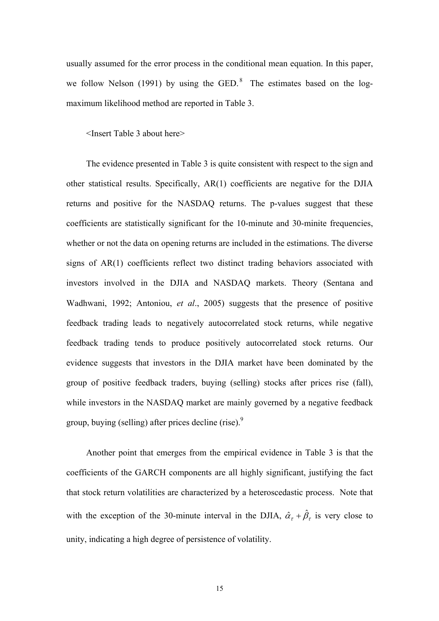usually assumed for the error process in the conditional mean equation. In this paper, we follow Nelson (1991) by using the GED. $^8$  The estimates based on the logmaximum likelihood method are reported in Table 3.

<Insert Table 3 about here>

The evidence presented in Table 3 is quite consistent with respect to the sign and other statistical results. Specifically, AR(1) coefficients are negative for the DJIA returns and positive for the NASDAQ returns. The p-values suggest that these coefficients are statistically significant for the 10-minute and 30-minite frequencies, whether or not the data on opening returns are included in the estimations. The diverse signs of AR(1) coefficients reflect two distinct trading behaviors associated with investors involved in the DJIA and NASDAQ markets. Theory (Sentana and Wadhwani, 1992; Antoniou, *et al*., 2005) suggests that the presence of positive feedback trading leads to negatively autocorrelated stock returns, while negative feedback trading tends to produce positively autocorrelated stock returns. Our evidence suggests that investors in the DJIA market have been dominated by the group of positive feedback traders, buying (selling) stocks after prices rise (fall), while investors in the NASDAQ market are mainly governed by a negative feedback group, buying (selling) after prices decline (rise). $\frac{9}{2}$ 

Another point that emerges from the empirical evidence in Table 3 is that the coefficients of the GARCH components are all highly significant, justifying the fact that stock return volatilities are characterized by a heteroscedastic process. Note that with the exception of the 30-minute interval in the DJIA,  $\hat{\alpha}_{\tau} + \hat{\beta}_{\tau}$  is very close to unity, indicating a high degree of persistence of volatility.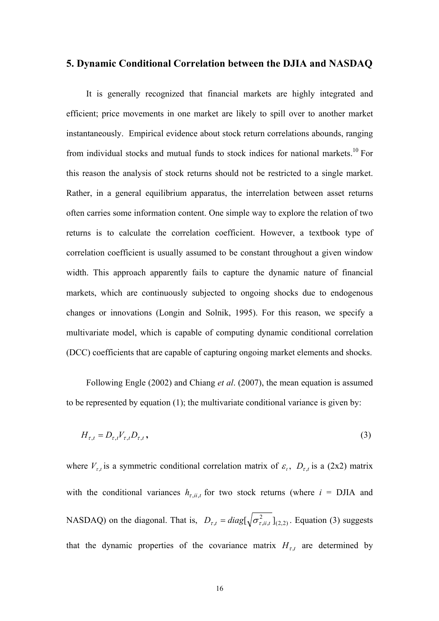## **5. Dynamic Conditional Correlation between the DJIA and NASDAQ**

It is generally recognized that financial markets are highly integrated and efficient; price movements in one market are likely to spill over to another market instantaneously. Empirical evidence about stock return correlations abounds, ranging from individual stocks and mutual funds to stock indices for national markets.<sup>10</sup> For this reason the analysis of stock returns should not be restricted to a single market. Rather, in a general equilibrium apparatus, the interrelation between asset returns often carries some information content. One simple way to explore the relation of two returns is to calculate the correlation coefficient. However, a textbook type of correlation coefficient is usually assumed to be constant throughout a given window width. This approach apparently fails to capture the dynamic nature of financial markets, which are continuously subjected to ongoing shocks due to endogenous changes or innovations (Longin and Solnik, 1995). For this reason, we specify a multivariate model, which is capable of computing dynamic conditional correlation (DCC) coefficients that are capable of capturing ongoing market elements and shocks.

Following Engle (2002) and Chiang *et al*. (2007), the mean equation is assumed to be represented by equation (1); the multivariate conditional variance is given by:

$$
H_{\tau,t} = D_{\tau,t} V_{\tau,t} D_{\tau,t}, \qquad (3)
$$

where  $V_{\tau,t}$  is a symmetric conditional correlation matrix of  $\varepsilon_t$ ,  $D_{\tau,t}$  is a (2x2) matrix with the conditional variances  $h_{\tau, i, i, t}$  for two stock returns (where  $i = \text{DJIA}$  and NASDAQ) on the diagonal. That is,  $D_{\tau,t} = diag[\sqrt{\sigma_{\tau, ii,t}^2}]_{(2,2)}$ . Equation (3) suggests that the dynamic properties of the covariance matrix  $H_{\tau,t}$  are determined by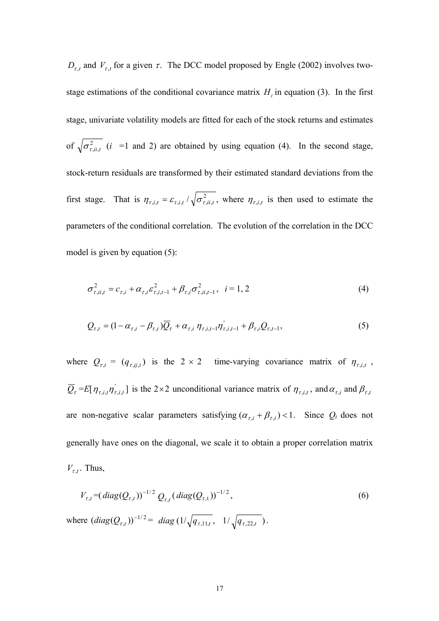$D_{\tau,t}$  and  $V_{\tau,t}$  for a given  $\tau$ . The DCC model proposed by Engle (2002) involves twostage estimations of the conditional covariance matrix  $H_t$  in equation (3). In the first stage, univariate volatility models are fitted for each of the stock returns and estimates of  $\sqrt{\sigma_{\tau, i i, t}^2}$  (*i* =1 and 2) are obtained by using equation (4). In the second stage, stock-return residuals are transformed by their estimated standard deviations from the first stage. That is  $\eta_{\tau,i,t} = \varepsilon_{\tau,i,t}/\sqrt{\sigma_{\tau,i,t}^2}$ , where  $\eta_{\tau,i,t}$  is then used to estimate the parameters of the conditional correlation. The evolution of the correlation in the DCC model is given by equation (5):

$$
\sigma_{\tau, ii, t}^{2} = c_{\tau, i} + \alpha_{\tau, i} \varepsilon_{\tau, i, t-1}^{2} + \beta_{\tau, i} \sigma_{\tau, ii, t-1}^{2}, \quad i = 1, 2
$$
\n(4)

$$
Q_{\tau,t} = (1 - \alpha_{\tau,i} - \beta_{\tau,i})\overline{Q}_{\tau} + \alpha_{\tau,i} \eta_{\tau,i,t-1}\eta_{\tau,i,t-1} + \beta_{\tau,i}Q_{\tau,t-1},
$$
\n
$$
\tag{5}
$$

where  $Q_{\tau,t} = (q_{\tau,t,j,t})$  is the 2 × 2 time-varying covariance matrix of  $\eta_{\tau,t,t}$ ,  $\overline{Q}_{\tau}$  = *E*[ $\eta_{\tau,i,t}$ ,  $\eta'_{\tau,i,t}$ ] is the 2×2 unconditional variance matrix of  $\eta_{\tau,i,t}$ , and  $\alpha_{\tau,i}$  and  $\beta_{\tau,t}$ are non-negative scalar parameters satisfying  $(\alpha_{\tau,i} + \beta_{\tau,i}) < 1$ . Since  $Q_t$  does not generally have ones on the diagonal, we scale it to obtain a proper correlation matrix  $V_{\tau,t}$ . Thus,

$$
V_{\tau,t} = (diag(Q_{\tau,t}))^{-1/2} Q_{\tau,t} (diag(Q_{\tau,t}))^{-1/2},
$$
\n
$$
\text{where } (diag(Q_{\tau,t}))^{-1/2} = diag(1/\sqrt{q_{\tau,11,t}}, 1/\sqrt{q_{\tau,22,t}}).
$$
\n(6)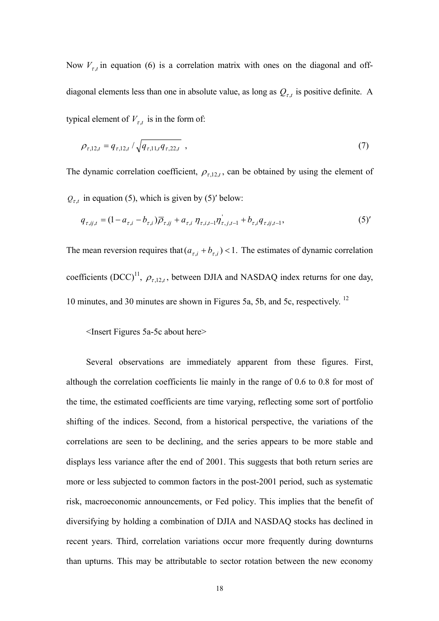Now  $V_{\tau,t}$  in equation (6) is a correlation matrix with ones on the diagonal and offdiagonal elements less than one in absolute value, as long as  $Q_{\tau,t}$  is positive definite. A typical element of  $V_{\tau,t}$  is in the form of:

$$
\rho_{\tau,12,t} = q_{\tau,12,t} / \sqrt{q_{\tau,11,t} q_{\tau,22,t}} \tag{7}
$$

The dynamic correlation coefficient,  $\rho_{\tau,12,t}$ , can be obtained by using the element of  $Q_{\tau,t}$  in equation (5), which is given by (5)' below:

$$
q_{\tau,ij,t} = (1 - a_{\tau,i} - b_{\tau,i}) \overline{\rho}_{\tau,ij} + a_{\tau,i} \eta_{\tau,i,t-1} \eta_{\tau,j,t-1} + b_{\tau,i} q_{\tau,ij,t-1},
$$
\n(5)

The mean reversion requires that  $(a_{\tau,i} + b_{\tau,i}) < 1$ . The estimates of dynamic correlation coefficients  $(DCC)^{11}$ ,  $\rho_{\tau,12,t}$ , between DJIA and NASDAQ index returns for one day, 10 minutes, and 30 minutes are shown in Figures 5a, 5b, and 5c, respectively. <sup>12</sup>

#### <Insert Figures 5a-5c about here>

Several observations are immediately apparent from these figures. First, although the correlation coefficients lie mainly in the range of 0.6 to 0.8 for most of the time, the estimated coefficients are time varying, reflecting some sort of portfolio shifting of the indices. Second, from a historical perspective, the variations of the correlations are seen to be declining, and the series appears to be more stable and displays less variance after the end of 2001. This suggests that both return series are more or less subjected to common factors in the post-2001 period, such as systematic risk, macroeconomic announcements, or Fed policy. This implies that the benefit of diversifying by holding a combination of DJIA and NASDAQ stocks has declined in recent years. Third, correlation variations occur more frequently during downturns than upturns. This may be attributable to sector rotation between the new economy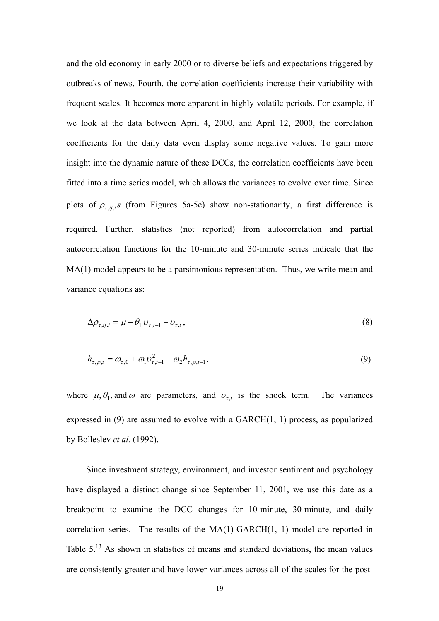and the old economy in early 2000 or to diverse beliefs and expectations triggered by outbreaks of news. Fourth, the correlation coefficients increase their variability with frequent scales. It becomes more apparent in highly volatile periods. For example, if we look at the data between April 4, 2000, and April 12, 2000, the correlation coefficients for the daily data even display some negative values. To gain more insight into the dynamic nature of these DCCs, the correlation coefficients have been fitted into a time series model, which allows the variances to evolve over time. Since plots of  $\rho_{r,i,j}$ , (from Figures 5a-5c) show non-stationarity, a first difference is required. Further, statistics (not reported) from autocorrelation and partial autocorrelation functions for the 10-minute and 30-minute series indicate that the MA(1) model appears to be a parsimonious representation. Thus, we write mean and variance equations as:

$$
\Delta \rho_{\tau, ij, t} = \mu - \theta_1 \, \upsilon_{\tau, t-1} + \upsilon_{\tau, t}, \tag{8}
$$

$$
h_{\tau,\rho,t} = \omega_{\tau,0} + \omega_1 \omega_{\tau,t-1}^2 + \omega_2 h_{\tau,\rho,t-1}.
$$
\n(9)

where  $\mu$ ,  $\theta_1$ , and  $\omega$  are parameters, and  $v_{\tau,t}$  is the shock term. The variances expressed in (9) are assumed to evolve with a GARCH(1, 1) process, as popularized by Bolleslev *et al.* (1992).

Since investment strategy, environment, and investor sentiment and psychology have displayed a distinct change since September 11, 2001, we use this date as a breakpoint to examine the DCC changes for 10-minute, 30-minute, and daily correlation series. The results of the MA(1)-GARCH(1, 1) model are reported in Table 5.<sup>13</sup> As shown in statistics of means and standard deviations, the mean values are consistently greater and have lower variances across all of the scales for the post-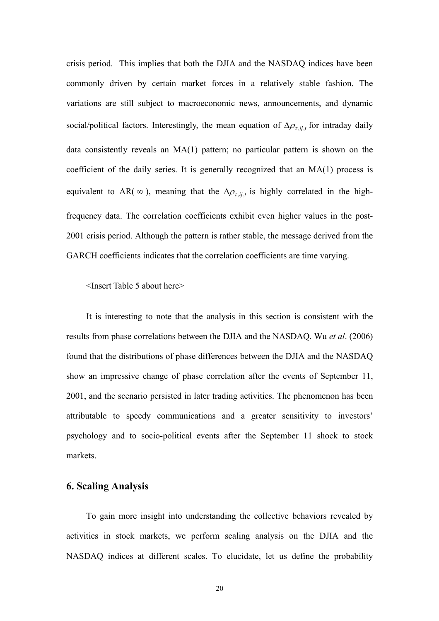crisis period. This implies that both the DJIA and the NASDAQ indices have been commonly driven by certain market forces in a relatively stable fashion. The variations are still subject to macroeconomic news, announcements, and dynamic social/political factors. Interestingly, the mean equation of  $\Delta \rho_{\tau i j}$  for intraday daily data consistently reveals an MA(1) pattern; no particular pattern is shown on the coefficient of the daily series. It is generally recognized that an MA(1) process is equivalent to AR( $\infty$ ), meaning that the  $\Delta \rho_{\tau, i,j}$  is highly correlated in the highfrequency data. The correlation coefficients exhibit even higher values in the post-2001 crisis period. Although the pattern is rather stable, the message derived from the GARCH coefficients indicates that the correlation coefficients are time varying.

<Insert Table 5 about here>

It is interesting to note that the analysis in this section is consistent with the results from phase correlations between the DJIA and the NASDAQ. Wu *et al*. (2006) found that the distributions of phase differences between the DJIA and the NASDAQ show an impressive change of phase correlation after the events of September 11, 2001, and the scenario persisted in later trading activities. The phenomenon has been attributable to speedy communications and a greater sensitivity to investors' psychology and to socio-political events after the September 11 shock to stock markets.

## **6. Scaling Analysis**

To gain more insight into understanding the collective behaviors revealed by activities in stock markets, we perform scaling analysis on the DJIA and the NASDAQ indices at different scales. To elucidate, let us define the probability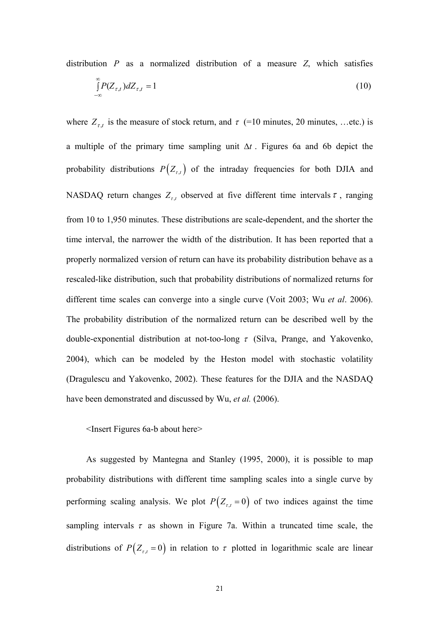distribution *P* as a normalized distribution of a measure *Z*, which satisfies

$$
\int_{-\infty}^{\infty} P(Z_{\tau,t}) dZ_{\tau,t} = 1 \tag{10}
$$

where  $Z_{\tau,t}$  is the measure of stock return, and  $\tau$  (=10 minutes, 20 minutes, ...etc.) is a multiple of the primary time sampling unit ∆*t* . Figures 6a and 6b depict the probability distributions  $P(Z_{\tau,t})$  of the intraday frequencies for both DJIA and NASDAQ return changes  $Z_{\tau,t}$  observed at five different time intervals  $\tau$ , ranging from 10 to 1,950 minutes. These distributions are scale-dependent, and the shorter the time interval, the narrower the width of the distribution. It has been reported that a properly normalized version of return can have its probability distribution behave as a rescaled-like distribution, such that probability distributions of normalized returns for different time scales can converge into a single curve (Voit 2003; Wu *et al*. 2006). The probability distribution of the normalized return can be described well by the double-exponential distribution at not-too-long  $\tau$  (Silva, Prange, and Yakovenko, 2004), which can be modeled by the Heston model with stochastic volatility (Dragulescu and Yakovenko, 2002). These features for the DJIA and the NASDAQ have been demonstrated and discussed by Wu, *et al.* (2006).

<Insert Figures 6a-b about here>

As suggested by Mantegna and Stanley (1995, 2000), it is possible to map probability distributions with different time sampling scales into a single curve by performing scaling analysis. We plot  $P(Z_{t,t} = 0)$  of two indices against the time sampling intervals  $\tau$  as shown in Figure 7a. Within a truncated time scale, the distributions of  $P(Z_{\tau,t} = 0)$  in relation to  $\tau$  plotted in logarithmic scale are linear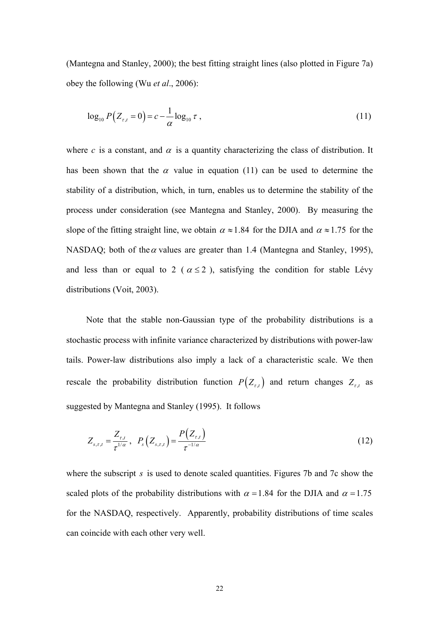(Mantegna and Stanley, 2000); the best fitting straight lines (also plotted in Figure 7a) obey the following (Wu *et al*., 2006):

$$
\log_{10} P(Z_{\tau,t} = 0) = c - \frac{1}{\alpha} \log_{10} \tau , \qquad (11)
$$

where *c* is a constant, and  $\alpha$  is a quantity characterizing the class of distribution. It has been shown that the  $\alpha$  value in equation (11) can be used to determine the stability of a distribution, which, in turn, enables us to determine the stability of the process under consideration (see Mantegna and Stanley, 2000). By measuring the slope of the fitting straight line, we obtain  $\alpha \approx 1.84$  for the DJIA and  $\alpha \approx 1.75$  for the NASDAQ; both of the  $\alpha$  values are greater than 1.4 (Mantegna and Stanley, 1995), and less than or equal to 2 ( $\alpha \le 2$ ), satisfying the condition for stable Lévy distributions (Voit, 2003).

Note that the stable non-Gaussian type of the probability distributions is a stochastic process with infinite variance characterized by distributions with power-law tails. Power-law distributions also imply a lack of a characteristic scale. We then rescale the probability distribution function  $P(Z_{\tau,t})$  and return changes  $Z_{\tau,t}$  as suggested by Mantegna and Stanley (1995). It follows

$$
Z_{s,\tau,t} = \frac{Z_{\tau,t}}{\tau^{1/\alpha}}, \ \ P_s\left(Z_{s,\tau,t}\right) = \frac{P\left(Z_{\tau,t}\right)}{\tau^{-1/\alpha}}
$$
(12)

where the subscript *s* is used to denote scaled quantities. Figures 7b and 7c show the scaled plots of the probability distributions with  $\alpha = 1.84$  for the DJIA and  $\alpha = 1.75$ for the NASDAQ, respectively. Apparently, probability distributions of time scales can coincide with each other very well.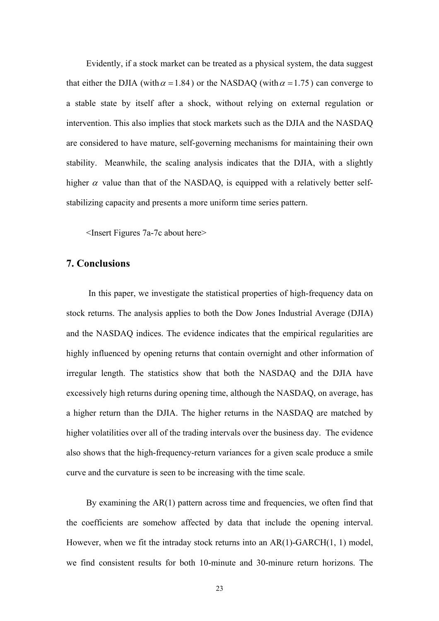Evidently, if a stock market can be treated as a physical system, the data suggest that either the DJIA (with  $\alpha = 1.84$ ) or the NASDAQ (with  $\alpha = 1.75$ ) can converge to a stable state by itself after a shock, without relying on external regulation or intervention. This also implies that stock markets such as the DJIA and the NASDAQ are considered to have mature, self-governing mechanisms for maintaining their own stability. Meanwhile, the scaling analysis indicates that the DJIA, with a slightly higher  $\alpha$  value than that of the NASDAQ, is equipped with a relatively better selfstabilizing capacity and presents a more uniform time series pattern.

<Insert Figures 7a-7c about here>

# **7. Conclusions**

 In this paper, we investigate the statistical properties of high-frequency data on stock returns. The analysis applies to both the Dow Jones Industrial Average (DJIA) and the NASDAQ indices. The evidence indicates that the empirical regularities are highly influenced by opening returns that contain overnight and other information of irregular length. The statistics show that both the NASDAQ and the DJIA have excessively high returns during opening time, although the NASDAQ, on average, has a higher return than the DJIA. The higher returns in the NASDAQ are matched by higher volatilities over all of the trading intervals over the business day. The evidence also shows that the high-frequency-return variances for a given scale produce a smile curve and the curvature is seen to be increasing with the time scale.

By examining the AR(1) pattern across time and frequencies, we often find that the coefficients are somehow affected by data that include the opening interval. However, when we fit the intraday stock returns into an AR(1)-GARCH(1, 1) model, we find consistent results for both 10-minute and 30-minure return horizons. The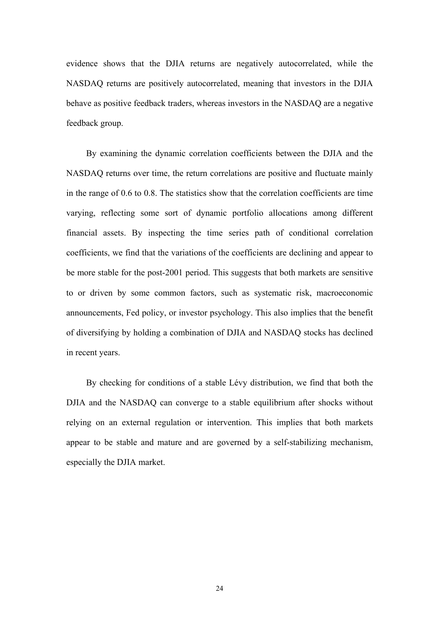evidence shows that the DJIA returns are negatively autocorrelated, while the NASDAQ returns are positively autocorrelated, meaning that investors in the DJIA behave as positive feedback traders, whereas investors in the NASDAQ are a negative feedback group.

By examining the dynamic correlation coefficients between the DJIA and the NASDAQ returns over time, the return correlations are positive and fluctuate mainly in the range of 0.6 to 0.8. The statistics show that the correlation coefficients are time varying, reflecting some sort of dynamic portfolio allocations among different financial assets. By inspecting the time series path of conditional correlation coefficients, we find that the variations of the coefficients are declining and appear to be more stable for the post-2001 period. This suggests that both markets are sensitive to or driven by some common factors, such as systematic risk, macroeconomic announcements, Fed policy, or investor psychology. This also implies that the benefit of diversifying by holding a combination of DJIA and NASDAQ stocks has declined in recent years.

By checking for conditions of a stable Lévy distribution, we find that both the DJIA and the NASDAQ can converge to a stable equilibrium after shocks without relying on an external regulation or intervention. This implies that both markets appear to be stable and mature and are governed by a self-stabilizing mechanism, especially the DJIA market.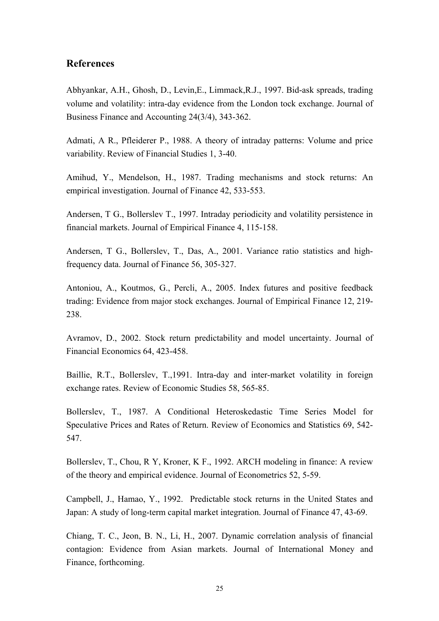# **References**

Abhyankar, A.H., Ghosh, D., Levin,E., Limmack,R.J., 1997. Bid-ask spreads, trading volume and volatility: intra-day evidence from the London tock exchange. Journal of Business Finance and Accounting 24(3/4), 343-362.

Admati, A R., Pfleiderer P., 1988. A theory of intraday patterns: Volume and price variability. Review of Financial Studies 1, 3-40.

Amihud, Y., Mendelson, H., 1987. Trading mechanisms and stock returns: An empirical investigation. Journal of Finance 42, 533-553.

Andersen, T G., Bollerslev T., 1997. Intraday periodicity and volatility persistence in financial markets. Journal of Empirical Finance 4, 115-158.

Andersen, T G., Bollerslev, T., Das, A., 2001. Variance ratio statistics and highfrequency data. Journal of Finance 56, 305-327.

Antoniou, A., Koutmos, G., Percli, A., 2005. Index futures and positive feedback trading: Evidence from major stock exchanges. Journal of Empirical Finance 12, 219- 238.

Avramov, D., 2002. Stock return predictability and model uncertainty. Journal of Financial Economics 64, 423-458.

Baillie, R.T., Bollerslev, T.,1991. Intra-day and inter-market volatility in foreign exchange rates. Review of Economic Studies 58, 565-85.

Bollerslev, T., 1987. A Conditional Heteroskedastic Time Series Model for Speculative Prices and Rates of Return. Review of Economics and Statistics 69, 542- 547.

Bollerslev, T., Chou, R Y, Kroner, K F., 1992. ARCH modeling in finance: A review of the theory and empirical evidence. Journal of Econometrics 52, 5-59.

Campbell, J., Hamao, Y., 1992. Predictable stock returns in the United States and Japan: A study of long-term capital market integration. Journal of Finance 47, 43-69.

Chiang, T. C., Jeon, B. N., Li, H., 2007. Dynamic correlation analysis of financial contagion: Evidence from Asian markets. Journal of International Money and Finance, forthcoming.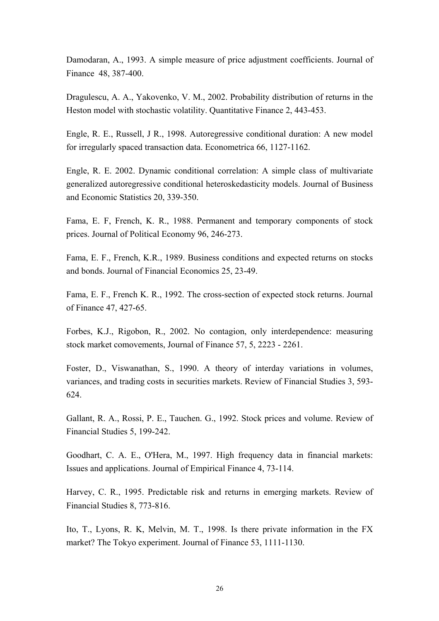Damodaran, A., 1993. A simple measure of price adjustment coefficients. Journal of Finance 48, 387-400.

Dragulescu, A. A., Yakovenko, V. M., 2002. Probability distribution of returns in the Heston model with stochastic volatility. Quantitative Finance 2, 443-453.

Engle, R. E., Russell, J R., 1998. Autoregressive conditional duration: A new model for irregularly spaced transaction data. Econometrica 66, 1127-1162.

Engle, R. E. 2002. Dynamic conditional correlation: A simple class of multivariate generalized autoregressive conditional heteroskedasticity models. Journal of Business and Economic Statistics 20, 339-350.

Fama, E. F, French, K. R., 1988. Permanent and temporary components of stock prices. Journal of Political Economy 96, 246-273.

Fama, E. F., French, K.R., 1989. Business conditions and expected returns on stocks and bonds. Journal of Financial Economics 25, 23-49.

Fama, E. F., French K. R., 1992. The cross-section of expected stock returns. Journal of Finance 47, 427-65.

Forbes, K.J., Rigobon, R., 2002. No contagion, only interdependence: measuring stock market comovements, Journal of Finance 57, 5, 2223 - 2261.

Foster, D., Viswanathan, S., 1990. A theory of interday variations in volumes, variances, and trading costs in securities markets. Review of Financial Studies 3, 593- 624.

Gallant, R. A., Rossi, P. E., Tauchen. G., 1992. Stock prices and volume. Review of Financial Studies 5, 199-242.

Goodhart, C. A. E., O'Hera, M., 1997. High frequency data in financial markets: Issues and applications. Journal of Empirical Finance 4, 73-114.

Harvey, C. R., 1995. Predictable risk and returns in emerging markets. Review of Financial Studies 8, 773-816.

Ito, T., Lyons, R. K, Melvin, M. T., 1998. Is there private information in the FX market? The Tokyo experiment. Journal of Finance 53, 1111-1130.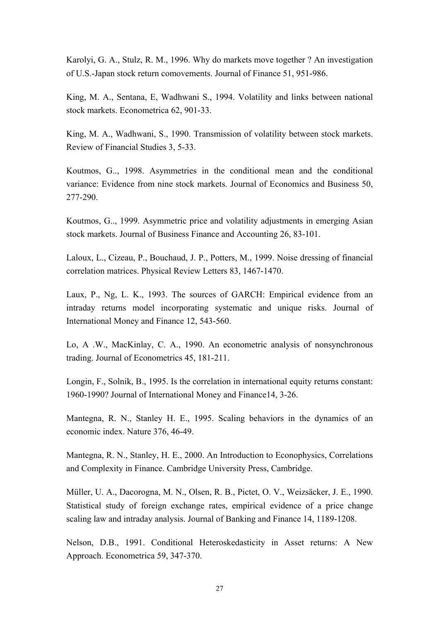Karolyi, G. A., Stulz, R. M., 1996. Why do markets move together ? An investigation of U.S.-Japan stock return comovements. Journal of Finance 51, 951-986.

King, M. A., Sentana, E, Wadhwani S., 1994. Volatility and links between national stock markets. Econometrica 62, 901-33.

King, M. A., Wadhwani, S., 1990. Transmission of volatility between stock markets. Review of Financial Studies 3, 5-33.

Koutmos, G.., 1998. Asymmetries in the conditional mean and the conditional variance: Evidence from nine stock markets. Journal of Economics and Business 50, 277-290.

Koutmos, G.., 1999. Asymmetric price and volatility adjustments in emerging Asian stock markets. Journal of Business Finance and Accounting 26, 83-101.

Laloux, L., Cizeau, P., Bouchaud, J. P., Potters, M., 1999. Noise dressing of financial correlation matrices. Physical Review Letters 83, 1467-1470.

Laux, P., Ng, L. K., 1993. The sources of GARCH: Empirical evidence from an intraday returns model incorporating systematic and unique risks. Journal of International Money and Finance 12, 543-560.

Lo, A .W., MacKinlay, C. A., 1990. An econometric analysis of nonsynchronous trading. Journal of Econometrics 45, 181-211.

Longin, F., Solnik, B., 1995. Is the correlation in international equity returns constant: 1960-1990? Journal of International Money and Finance14, 3-26.

Mantegna, R. N., Stanley H. E., 1995. Scaling behaviors in the dynamics of an economic index. Nature 376, 46-49.

Mantegna, R. N., Stanley, H. E., 2000. An Introduction to Econophysics, Correlations and Complexity in Finance. Cambridge University Press, Cambridge.

Müller, U. A., Dacorogna, M. N., Olsen, R. B., Pictet, O. V., Weizsäcker, J. E., 1990. Statistical study of foreign exchange rates, empirical evidence of a price change scaling law and intraday analysis. Journal of Banking and Finance 14, 1189-1208.

Nelson, D.B., 1991. Conditional Heteroskedasticity in Asset returns: A New Approach. Econometrica 59, 347-370.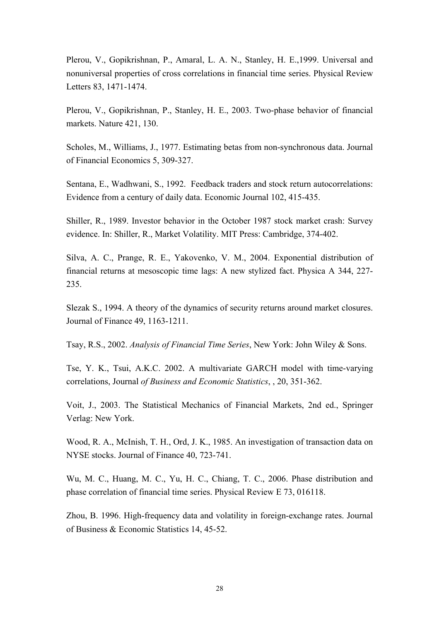Plerou, V., Gopikrishnan, P., Amaral, L. A. N., Stanley, H. E.,1999. Universal and nonuniversal properties of cross correlations in financial time series. Physical Review Letters 83, 1471-1474.

Plerou, V., Gopikrishnan, P., Stanley, H. E., 2003. Two-phase behavior of financial markets. Nature 421, 130.

Scholes, M., Williams, J., 1977. Estimating betas from non-synchronous data. Journal of Financial Economics 5, 309-327.

Sentana, E., Wadhwani, S., 1992. Feedback traders and stock return autocorrelations: Evidence from a century of daily data. Economic Journal 102, 415-435.

Shiller, R., 1989. Investor behavior in the October 1987 stock market crash: Survey evidence. In: Shiller, R., Market Volatility. MIT Press: Cambridge, 374-402.

Silva, A. C., Prange, R. E., Yakovenko, V. M., 2004. Exponential distribution of financial returns at mesoscopic time lags: A new stylized fact. Physica A 344, 227- 235.

Slezak S., 1994. A theory of the dynamics of security returns around market closures. Journal of Finance 49, 1163-1211.

Tsay, R.S., 2002. *Analysis of Financial Time Series*, New York: John Wiley & Sons.

Tse, Y. K., Tsui, A.K.C. 2002. A multivariate GARCH model with time-varying correlations, Journal *of Business and Economic Statistics*, , 20, 351-362.

Voit, J., 2003. The Statistical Mechanics of Financial Markets, 2nd ed., Springer Verlag: New York.

Wood, R. A., McInish, T. H., Ord, J. K., 1985. An investigation of transaction data on NYSE stocks. Journal of Finance 40, 723-741.

Wu, M. C., Huang, M. C., Yu, H. C., Chiang, T. C., 2006. Phase distribution and phase correlation of financial time series. Physical Review E 73, 016118.

Zhou, B. 1996. High-frequency data and volatility in foreign-exchange rates. Journal of Business & Economic Statistics 14, 45-52.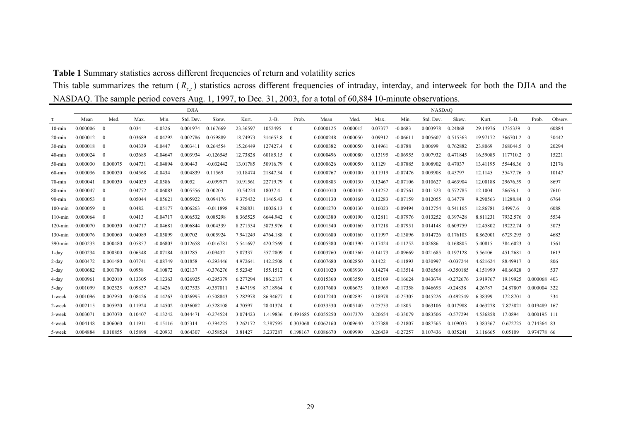# **Table 1** Summary statistics across different frequencies of return and volatility series

This table summarizes the return  $(R_{\tau,t})$  statistics across different frequencies of intraday, interday, and interweek for both the DJIA and the NASDAQ. The sample period covers Aug. 1, 1997, to Dec. 31, 2003, for a total of 60,884 10-minute observations.

|            | <b>DJIA</b> |          |         |            |           |             |          | <b>NASDAO</b> |                |                    |          |         |            |           |             |          |            |                |         |
|------------|-------------|----------|---------|------------|-----------|-------------|----------|---------------|----------------|--------------------|----------|---------|------------|-----------|-------------|----------|------------|----------------|---------|
| τ          | Mean        | Med.     | Max.    | Min.       | Std. Dev. | Skew.       | Kurt.    | $J.-B.$       | Prob.          | Mean               | Med.     | Max.    | Min.       | Std. Dev. | Skew.       | Kurt.    | $J.-B.$    | Prob.          | Observ. |
| $10$ -min  | 0.000006    | $\Omega$ | 0.034   | $-0.0326$  | 0.001974  | 0.167669    | 23.36597 | 1052495       | $\mathbf{0}$   | 0.0000125          | 0.000015 | 0.07377 | $-0.0683$  | 0.003978  | 0.24868     | 29.14976 | 1735339    | $\mathbf{0}$   | 60884   |
| $20$ -min  | 0.000012    | $\theta$ | 0.03689 | $-0.04292$ | 0.002786  | 0.059889    | 18.74973 | 314653.8      | $\overline{0}$ | 0.0000248          | 0.000050 | 0.09912 | $-0.0661$  | 0.005607  | 0.515363    | 19.97172 | 366701.2 0 |                | 30442   |
| $30$ -min  | 0.000018    | $\theta$ | 0.04339 | $-0.0447$  | 0.003411  | 0.264554    | 15.26449 | 127427.4      | $\theta$       | 0.0000382          | 0.000050 | 0.14961 | $-0.0788$  | 0.00699   | 0.762882    | 23.8069  | 368044.5 0 |                | 20294   |
| $40$ -min  | 0.000024    | $\theta$ | 0.03685 | $-0.04647$ | 0.003934  | $-0.126545$ | 12.73828 | 60185.15      | $\overline{0}$ | 0.0000496          | 0.000080 | 0.13195 | $-0.06955$ | 0.007932  | 0.471845    | 16.59085 | 117710.2 0 |                | 15221   |
| $50$ -min  | 0.000030    | 0.000075 | 0.04731 | $-0.04894$ | 0.00443   | $-0.032442$ | 13.01785 | 50916.79      | $\overline{0}$ | 0.0000626          | 0.000050 | 0.1129  | $-0.07885$ | 0.008902  | 0.47037     | 13.41195 | 55448.36 0 |                | 12176   |
| $60$ -min  | 0.000036    | 0.000020 | 0.04568 | $-0.0434$  | 0.004839  | 0.11569     | 10.18474 | 21847.34      | $\overline{0}$ | 0.0000767          | 0.000100 | 0.11919 | $-0.07476$ | 0.009908  | 0.45797     | 12.1145  | 35477.76 0 |                | 10147   |
| $70 - min$ | 0.000041    | 0.000030 | 0.04035 | $-0.0586$  | 0.0052    | $-0.099977$ | 10.91561 | 22719.79      | $\overline{0}$ | 0.0000883          | 0.000130 | 0.13467 | $-0.07106$ | 0.010627  | 0.463904    | 12.00188 | 29676.59   | $\overline{0}$ | 8697    |
| $80 - min$ | 0.000047    | $\Omega$ | 0.04772 | $-0.06083$ | 0.005556  | 0.00203     | 10.54224 | 18037.4       | $\mathbf{0}$   | 0.0001010          | 0.000140 | 0.14252 | $-0.07561$ | 0.011323  | 0.572785    | 12.1004  | 26676.1    | $\theta$       | 7610    |
| $90$ -min  | 0.000053    | $\theta$ | 0.05044 | $-0.05621$ | 0.005922  | 0.094176    | 9.375432 | 11465.43      | $\overline{0}$ | 0.0001130          | 0.000160 | 0.12283 | $-0.07159$ | 0.012055  | 0.34779     | 9.290563 | 11288.84   | $\overline{0}$ | 6764    |
| $100$ -min | 0.000059    | $\theta$ | 0.0482  | $-0.05177$ | 0.006263  | $-0.011898$ | 9.28683  | 10026.13      | $\theta$       | 0.0001270          | 0.000130 | 0.16023 | $-0.09494$ | 0.012754  | 0.541165    | 12.86781 | 24997.6    | $\Omega$       | 6088    |
| $110$ -min | 0.000064    | $\Omega$ | 0.0413  | $-0.04717$ | 0.006532  | 0.085298    | 8.365525 | 6644.942      | $\overline{0}$ | 0.0001380          | 0.000190 | 0.12811 | $-0.07976$ | 0.013252  | 0.397428    | 8.811231 | 7932.576 0 |                | 5534    |
| $120$ -min | 0.000070    | 0.000030 | 0.04717 | $-0.04681$ | 0.006844  | 0.004339    | 8.271554 | 5873.976      | $\overline{0}$ | 0.0001540          | 0.000160 | 0.17218 | $-0.07951$ | 0.014148  | 0.609759    | 12.45802 | 19222.74 0 |                | 5073    |
| $130$ -min | 0.000076    | 0.000060 | 0.04089 | $-0.05899$ | 0.00702   | 0.005924    | 7.941249 | 4764.188      | $\overline{0}$ | 0.0001680          | 0.000160 | 0.11997 | $-0.13896$ | 0.014726  | 0.176103    | 8.862001 | 6729.295   | $\overline{0}$ | 4683    |
| $390$ -min | 0.000233    | 0.000480 | 0.05857 | $-0.06803$ | 0.012658  | $-0.016781$ | 5.541697 | 420.2569      | $\overline{0}$ | 0.0005380          | 0.001390 | 0.17424 | $-0.11252$ | 0.02686   | 0.168805    | 5.40815  | 384.6023   | $\theta$       | 1561    |
| 1-day      | 0.000234    | 0.000300 | 0.06348 | $-0.07184$ | 0.01285   | $-0.09432$  | 5.87337  | 557.2809      | $\overline{0}$ | 0.0003760          | 0.001560 | 0.14173 | $-0.09669$ | 0.021685  | 0.197128    | 5.56106  | 451.2681   | $\overline{0}$ | 1613    |
| $2$ -day   | 0.000472    | 0.001480 | 0.07741 | $-0.08749$ | 0.01858   | $-0.293446$ | 4.972641 | 142.2508      | $\theta$       | 0.0007680          | 0.002850 | 0.1422  | $-0.11893$ | 0.030997  | $-0.037244$ | 4.621624 | 88.49917   | $\theta$       | 806     |
| $3$ -day   | 0.000682    | 0.001780 | 0.0958  | $-0.10872$ | 0.02137   | $-0.376276$ | 5.52345  | 155.1512      | $\overline{0}$ | 0.0011020          | 0.003930 | 0.14274 | $-0.13514$ | 0.036568  | $-0.350185$ | 4.151999 | 40.66928   | $\overline{0}$ | 537     |
| 4-day      | 0.000961    | 0.002010 | 0.13305 | $-0.12363$ | 0.026925  | $-0.295379$ | 6.277294 | 186.2137      | $\overline{0}$ | 0.0015360          | 0.003550 | 0.15109 | $-0.16624$ | 0.043674  | $-0.272676$ | 3.919767 | 19.19925   | 0.000068 403   |         |
| 5-day      | 0.001099    | 0.002525 | 0.09837 | $-0.1426$  | 0.027533  | $-0.357011$ | 5.447198 | 87.18964      | $\overline{0}$ | 0.0017600          | 0.006675 | 0.18969 | $-0.17358$ | 0.046693  | $-0.24838$  | 4.26787  | 24.87807   | 0.000004 322   |         |
| 1-week     | 0.001096    | 0.002950 | 0.08426 | $-0.14263$ | 0.026995  | $-0.508843$ | 5.282978 | 86.94677      | $\overline{0}$ | 0.0017240          | 0.002895 | 0.18978 | $-0.25305$ | 0.045226  | $-0.492549$ | 6.38399  | 172.8701   | $\Omega$       | 334     |
| 2-week     | 0.002115    | 0.005920 | 0.11924 | $-0.14502$ | 0.036082  | $-0.528108$ | 4.70597  | 28.01374      | $\Omega$       | 0.0033530          | 0.005140 | 0.25753 | $-0.1805$  | 0.063106  | 0.017988    | 4.063278 | 7.875821   | 0.019489 167   |         |
| 3-week     | 0.003071    | 0.007070 | 0.10407 | $-0.13242$ | 0.044471  | $-0.274524$ | 3.074423 | 1.419836      | 0.491685       | 0.0055250          | 0.017370 | 0.20654 | $-0.33079$ | 0.083506  | $-0.577294$ | 4.536858 | 17.0894    | 0.000195 111   |         |
| 4-week     | 0.004148    | 0.006060 | 0.11911 | $-0.15116$ | 0.05314   | $-0.394225$ | 3.262172 | 2.387595      | 0.303068       | 0.0062160          | 0.009640 | 0.27388 | $-0.21807$ | 0.087565  | 0.109033    | 3.383367 | 0.672725   | 0.714364 83    |         |
| 5-week     | 0.004884    | 0.010855 | 0.15898 | $-0.20933$ | 0.064307  | $-0.358524$ | 3.81427  | 3.237287      |                | 0.198167 0.0086670 | 0.009990 | 0.26439 | $-0.27257$ | 0.107436  | 0.035241    | 3.116665 | 0.05109    | 0.974778 66    |         |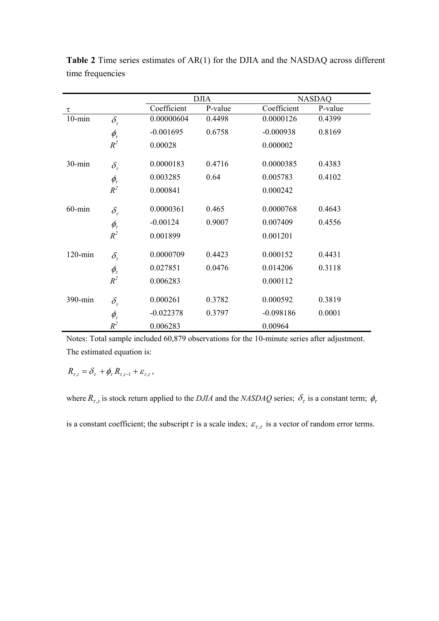|            |                 |             | <b>DJIA</b> | <b>NASDAQ</b> |         |  |  |
|------------|-----------------|-------------|-------------|---------------|---------|--|--|
| τ          |                 | Coefficient | P-value     | Coefficient   | P-value |  |  |
| $10$ -min  | $\delta_{\tau}$ | 0.00000604  | 0.4498      | 0.0000126     | 0.4399  |  |  |
|            | $\phi_{\tau}$   | $-0.001695$ | 0.6758      | $-0.000938$   | 0.8169  |  |  |
|            | $R^2$           | 0.00028     |             | 0.000002      |         |  |  |
| $30 - min$ | $\delta_{\tau}$ | 0.0000183   | 0.4716      | 0.0000385     | 0.4383  |  |  |
|            | $\phi_{\tau}$   | 0.003285    | 0.64        | 0.005783      | 0.4102  |  |  |
|            | $R^2$           | 0.000841    |             | 0.000242      |         |  |  |
| $60$ -min  | $\delta_{\tau}$ | 0.0000361   | 0.465       | 0.0000768     | 0.4643  |  |  |
|            | $\phi_{\tau}$   | $-0.00124$  | 0.9007      | 0.007409      | 0.4556  |  |  |
|            | $R^2$           | 0.001899    |             | 0.001201      |         |  |  |
| $120$ -min | $\delta_{\tau}$ | 0.0000709   | 0.4423      | 0.000152      | 0.4431  |  |  |
|            | $\phi_{\tau}$   | 0.027851    | 0.0476      | 0.014206      | 0.3118  |  |  |
|            | $R^2$           | 0.006283    |             | 0.000112      |         |  |  |
| 390-min    | $\delta_{\tau}$ | 0.000261    | 0.3782      | 0.000592      | 0.3819  |  |  |
|            | $\phi_{\tau}$   | $-0.022378$ | 0.3797      | $-0.098186$   | 0.0001  |  |  |
|            | $R^2$           | 0.006283    |             | 0.00964       |         |  |  |

**Table 2** Time series estimates of AR(1) for the DJIA and the NASDAQ across different time frequencies

Notes: Total sample included 60,879 observations for the 10-minute series after adjustment. The estimated equation is:

 $R_{\tau,t} = \delta_{\tau} + \phi_{\tau} R_{\tau,t-1} + \varepsilon_{\tau,t}$ ,

where  $R_{\tau,t}$  is stock return applied to the *DJIA* and the *NASDAQ* series;  $\delta_{\tau}$  is a constant term;  $\phi_{\tau}$ is a constant coefficient; the subscript  $\tau$  is a scale index;  $\varepsilon_{\tau,t}$  is a vector of random error terms.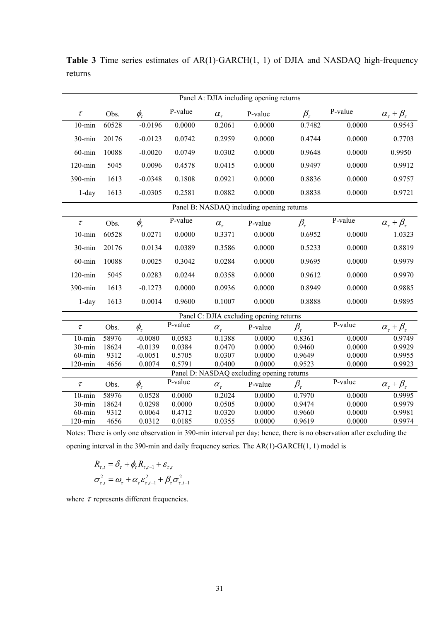| Panel A: DJIA including opening returns   |       |               |         |                                         |         |                                           |         |                                             |  |  |  |
|-------------------------------------------|-------|---------------|---------|-----------------------------------------|---------|-------------------------------------------|---------|---------------------------------------------|--|--|--|
| $\tau$                                    | Obs.  | $\phi_{\tau}$ | P-value | $\alpha_{\tau}$                         | P-value | $\beta_{\tau}$                            | P-value | $\frac{\alpha_{\tau}+\beta_{\tau}}{0.9543}$ |  |  |  |
| $10 - min$                                | 60528 | $-0.0196$     | 0.0000  | 0.2061                                  | 0.0000  | 0.7482                                    | 0.0000  |                                             |  |  |  |
| 30-min                                    | 20176 | $-0.0123$     | 0.0742  | 0.2959                                  | 0.0000  | 0.4744                                    | 0.0000  | 0.7703                                      |  |  |  |
| $60$ -min                                 | 10088 | $-0.0020$     | 0.0749  | 0.0302                                  | 0.0000  | 0.9648                                    | 0.0000  | 0.9950                                      |  |  |  |
| $120 - min$                               | 5045  | 0.0096        | 0.4578  | 0.0415                                  | 0.0000  | 0.9497                                    | 0.0000  | 0.9912                                      |  |  |  |
| 390-min                                   | 1613  | $-0.0348$     | 0.1808  | 0.0921                                  | 0.0000  | 0.8836                                    | 0.0000  | 0.9757                                      |  |  |  |
| $1$ -day                                  | 1613  | $-0.0305$     | 0.2581  | 0.0882                                  | 0.0000  | 0.8838                                    | 0.0000  | 0.9721                                      |  |  |  |
| Panel B: NASDAQ including opening returns |       |               |         |                                         |         |                                           |         |                                             |  |  |  |
| $\tau$                                    | Obs.  | $\phi_{\tau}$ | P-value | $\alpha_{\tau}$                         | P-value | $\beta_\tau$                              | P-value | $\alpha_{\tau} + \beta_{\tau}$              |  |  |  |
| $10 - min$                                | 60528 | 0.0271        | 0.0000  | 0.3371                                  | 0.0000  | 0.6952                                    | 0.0000  | 1.0323                                      |  |  |  |
| $30 - min$                                | 20176 | 0.0134        | 0.0389  | 0.3586                                  | 0.0000  | 0.5233                                    | 0.0000  | 0.8819                                      |  |  |  |
| $60$ -min                                 | 10088 | 0.0025        | 0.3042  | 0.0284                                  | 0.0000  | 0.9695                                    | 0.0000  | 0.9979                                      |  |  |  |
| $120 - min$                               | 5045  | 0.0283        | 0.0244  | 0.0358                                  | 0.0000  | 0.9612                                    | 0.0000  | 0.9970                                      |  |  |  |
| 390-min                                   | 1613  | $-0.1273$     | 0.0000  | 0.0936                                  | 0.0000  | 0.8949                                    | 0.0000  | 0.9885                                      |  |  |  |
| $1$ -day                                  | 1613  | 0.0014        | 0.9600  | 0.1007                                  | 0.0000  | 0.8888                                    | 0.0000  | 0.9895                                      |  |  |  |
|                                           |       |               |         | Panel C: DJIA excluding opening returns |         |                                           |         |                                             |  |  |  |
| $\tau$                                    | Obs.  | $\phi_{\tau}$ | P-value | $\alpha_{\tau}$                         | P-value | $\beta_{\mathrm{\scriptscriptstyle\tau}}$ | P-value | $\alpha_{\tau} + \beta_{\tau}$              |  |  |  |
| $10 - min$                                | 58976 | $-0.0080$     | 0.0583  | 0.1388                                  | 0.0000  | 0.8361                                    | 0.0000  | 0.9749                                      |  |  |  |
| 30-min                                    | 18624 | $-0.0139$     | 0.0384  | 0.0470                                  | 0.0000  | 0.9460                                    | 0.0000  | 0.9929                                      |  |  |  |
| $60$ -min                                 | 9312  | $-0.0051$     | 0.5705  | 0.0307                                  | 0.0000  | 0.9649                                    | 0.0000  | 0.9955                                      |  |  |  |
| $120 - min$                               | 4656  | 0.0074        | 0.5791  | 0.0400                                  | 0.0000  | 0.9523                                    | 0.0000  | 0.9923                                      |  |  |  |
| Panel D: NASDAQ excluding opening returns |       |               |         |                                         |         |                                           |         |                                             |  |  |  |
| $\tau$                                    | Obs.  | $\phi_{\tau}$ | P-value | $\alpha_{\tau}$                         | P-value | $\beta_{\tau}$                            | P-value | $\alpha_{\tau} + \beta_{\tau}$              |  |  |  |
| $10 - min$                                | 58976 | 0.0528        | 0.0000  | 0.2024                                  | 0.0000  | 0.7970                                    | 0.0000  | 0.9995                                      |  |  |  |
| $30 - min$                                | 18624 | 0.0298        | 0.0000  | 0.0505                                  | 0.0000  | 0.9474                                    | 0.0000  | 0.9979                                      |  |  |  |
| $60$ -min                                 | 9312  | 0.0064        | 0.4712  | 0.0320                                  | 0.0000  | 0.9660                                    | 0.0000  | 0.9981                                      |  |  |  |
| $120 - min$                               | 4656  | 0.0312        | 0.0185  | 0.0355                                  | 0.0000  | 0.9619                                    | 0.0000  | 0.9974                                      |  |  |  |

**Table 3** Time series estimates of AR(1)-GARCH(1, 1) of DJIA and NASDAQ high-frequency returns

Notes: There is only one observation in 390-min interval per day; hence, there is no observation after excluding the opening interval in the 390-min and daily frequency series. The AR(1)-GARCH(1, 1) model is

$$
R_{\tau,t} = \delta_{\tau} + \phi_{\tau} R_{\tau,t-1} + \varepsilon_{\tau,t}
$$

$$
\sigma_{\tau,t}^2 = \omega_{\tau} + \alpha_{\tau} \varepsilon_{\tau,t-1}^2 + \beta_{\tau} \sigma_{\tau,t-1}^2
$$

where  $\tau$  represents different frequencies.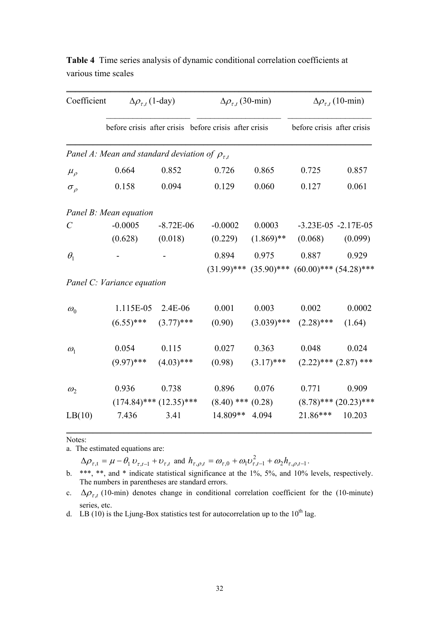| Coefficient     |                            | $\Delta \rho_{\tau,t}$ (1-day)                          | $\Delta \rho_{\tau,t}$ (30-min) |               | $\Delta \rho_{\tau,t}$ (10-min)                         |                            |  |  |
|-----------------|----------------------------|---------------------------------------------------------|---------------------------------|---------------|---------------------------------------------------------|----------------------------|--|--|
|                 |                            | before crisis after crisis before crisis after crisis   |                                 |               | before crisis after crisis                              |                            |  |  |
|                 |                            | Panel A: Mean and standard deviation of $\rho_{\tau,t}$ |                                 |               |                                                         |                            |  |  |
| $\mu_{\rho}$    | 0.664                      | 0.852                                                   | 0.726                           | 0.865         | 0.725                                                   | 0.857                      |  |  |
| $\sigma_{\rho}$ | 0.158                      | 0.094                                                   | 0.129                           | 0.060         | 0.127                                                   | 0.061                      |  |  |
|                 | Panel B: Mean equation     |                                                         |                                 |               |                                                         |                            |  |  |
| C               | $-0.0005$                  | $-8.72E-06$                                             | $-0.0002$                       | 0.0003        |                                                         | $-3.23E-05 -2.17E-05$      |  |  |
|                 | (0.628)                    | (0.018)                                                 | (0.229)                         | $(1.869)$ **  | (0.068)                                                 | (0.099)                    |  |  |
| $\theta_1$      |                            |                                                         | 0.894                           | 0.975         | 0.887                                                   | 0.929                      |  |  |
|                 |                            |                                                         |                                 |               | $(31.99)$ *** $(35.90)$ *** $(60.00)$ *** $(54.28)$ *** |                            |  |  |
|                 | Panel C: Variance equation |                                                         |                                 |               |                                                         |                            |  |  |
| $\omega_0$      | 1.115E-05                  | 2.4E-06                                                 | 0.001                           | 0.003         | 0.002                                                   | 0.0002                     |  |  |
|                 | $(6.55)$ ***               | $(3.77)$ ***                                            | (0.90)                          | $(3.039)$ *** | $(2.28)$ ***                                            | (1.64)                     |  |  |
| $\omega_1$      | 0.054                      | 0.115                                                   | 0.027                           | 0.363         | 0.048                                                   | 0.024                      |  |  |
|                 | $(9.97)$ ***               | $(4.03)$ ***                                            | (0.98)                          | $(3.17)$ ***  |                                                         | $(2.22)$ *** $(2.87)$ ***  |  |  |
| $\omega_{2}$    | 0.936                      | 0.738                                                   | 0.896                           | 0.076         | 0.771                                                   | 0.909                      |  |  |
|                 |                            | $(174.84)$ *** $(12.35)$ ***                            | $(8.40)$ *** $(0.28)$           |               |                                                         | $(8.78)$ *** $(20.23)$ *** |  |  |
| LB(10)          | 7.436                      | 3.41                                                    | 14.809**                        | 4.094         | 21.86***                                                | 10.203                     |  |  |

**Table 4** Time series analysis of dynamic conditional correlation coefficients at various time scales

 $\mathcal{L}_\text{max} = \mathcal{L}_\text{max} = \mathcal{L}_\text{max} = \mathcal{L}_\text{max} = \mathcal{L}_\text{max} = \mathcal{L}_\text{max} = \mathcal{L}_\text{max} = \mathcal{L}_\text{max} = \mathcal{L}_\text{max} = \mathcal{L}_\text{max} = \mathcal{L}_\text{max} = \mathcal{L}_\text{max} = \mathcal{L}_\text{max} = \mathcal{L}_\text{max} = \mathcal{L}_\text{max} = \mathcal{L}_\text{max} = \mathcal{L}_\text{max} = \mathcal{L}_\text{max} = \mathcal{$ 

Notes:

a. The estimated equations are:

 $\Delta \rho_{\tau,t} = \mu - \theta_1 v_{\tau,t-1} + v_{\tau,t}$  and  $h_{\tau,\rho,t} = \omega_{\tau,0} + \omega_1 v_{\tau,t-1}^2 + \omega_2 h_{\tau,\rho,t-1}$ .

b. \*\*\*, \*\*, and \* indicate statistical significance at the 1%, 5%, and 10% levels, respectively. The numbers in parentheses are standard errors.

c.  $\Delta \rho_{\tau,t}$  (10-min) denotes change in conditional correlation coefficient for the (10-minute) series, etc.

d. LB (10) is the Ljung-Box statistics test for autocorrelation up to the  $10^{th}$  lag.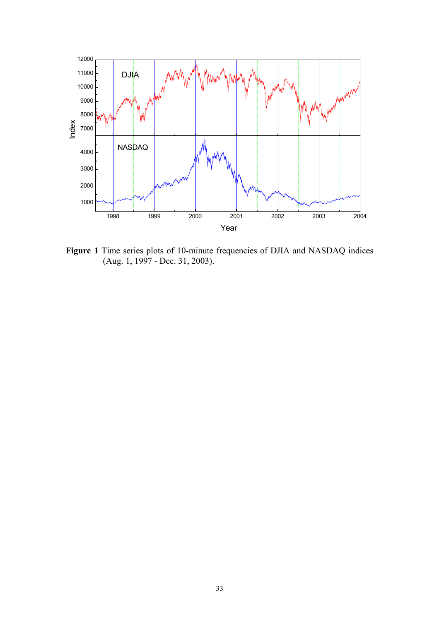

**Figure 1** Time series plots of 10-minute frequencies of DJIA and NASDAQ indices (Aug. 1, 1997 - Dec. 31, 2003).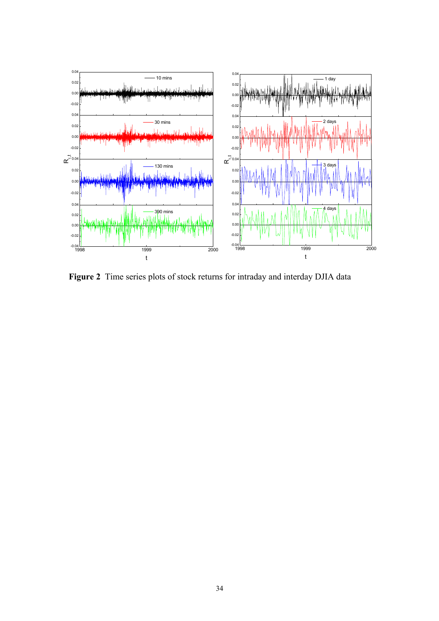

**Figure 2** Time series plots of stock returns for intraday and interday DJIA data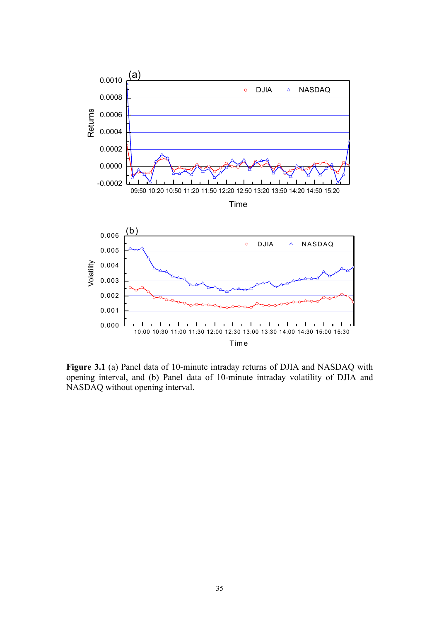

**Figure 3.1** (a) Panel data of 10-minute intraday returns of DJIA and NASDAQ with opening interval, and (b) Panel data of 10-minute intraday volatility of DJIA and NASDAQ without opening interval.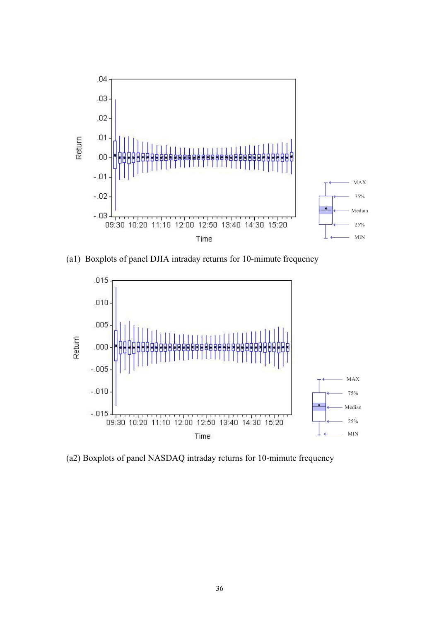

(a1) Boxplots of panel DJIA intraday returns for 10-mimute frequency



(a2) Boxplots of panel NASDAQ intraday returns for 10-mimute frequency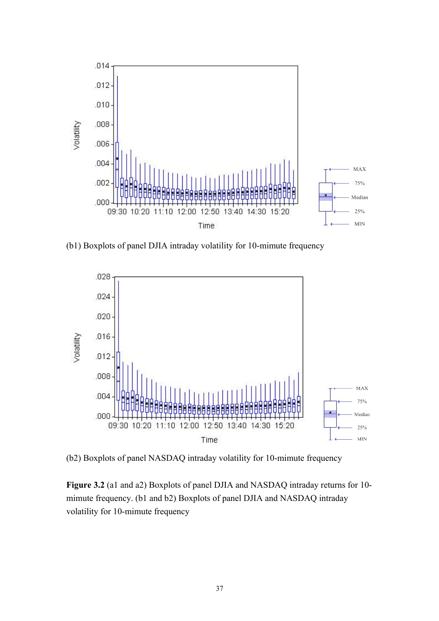

(b1) Boxplots of panel DJIA intraday volatility for 10-mimute frequency



(b2) Boxplots of panel NASDAQ intraday volatility for 10-mimute frequency

**Figure 3.2** (a1 and a2) Boxplots of panel DJIA and NASDAQ intraday returns for 10 mimute frequency. (b1 and b2) Boxplots of panel DJIA and NASDAQ intraday volatility for 10-mimute frequency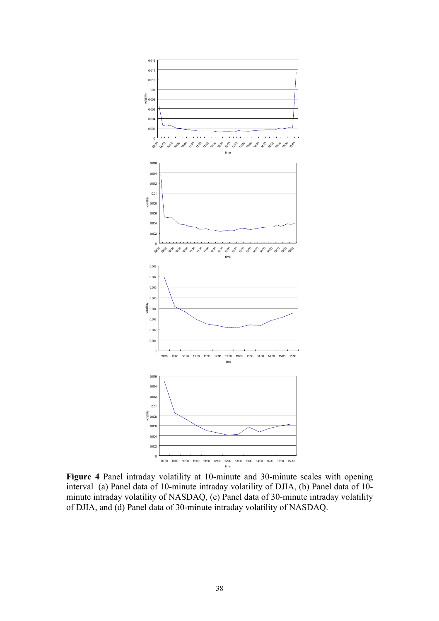

**Figure 4** Panel intraday volatility at 10-minute and 30-minute scales with opening interval (a) Panel data of 10-minute intraday volatility of DJIA, (b) Panel data of 10 minute intraday volatility of NASDAQ, (c) Panel data of 30-minute intraday volatility of DJIA, and (d) Panel data of 30-minute intraday volatility of NASDAQ.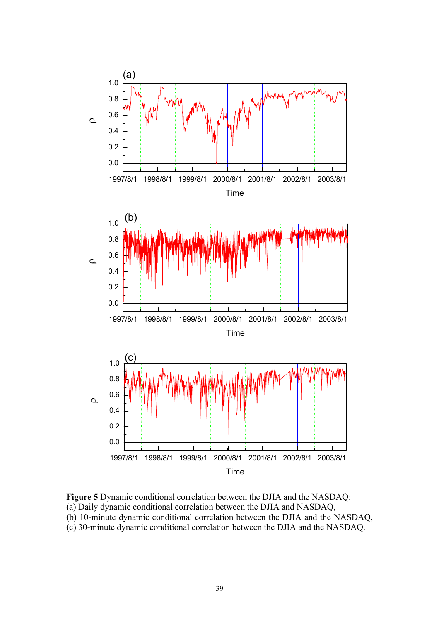

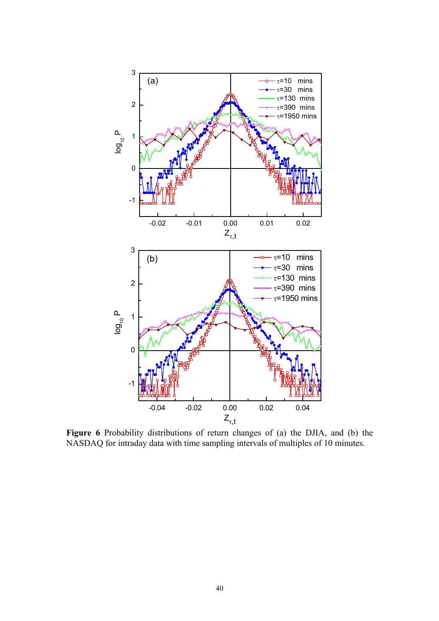

**Figure 6** Probability distributions of return changes of (a) the DJIA, and (b) the NASDAQ for intraday data with time sampling intervals of multiples of 10 minutes.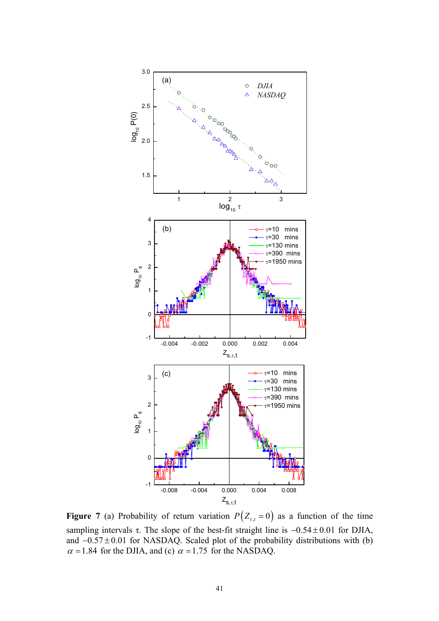

**Figure 7** (a) Probability of return variation  $P(Z_{\tau,t} = 0)$  as a function of the time sampling intervals  $\tau$ . The slope of the best-fit straight line is  $-0.54 \pm 0.01$  for DJIA, and  $-0.57 \pm 0.01$  for NASDAQ. Scaled plot of the probability distributions with (b)  $\alpha$  = 1.84 for the DJIA, and (c)  $\alpha$  = 1.75 for the NASDAQ.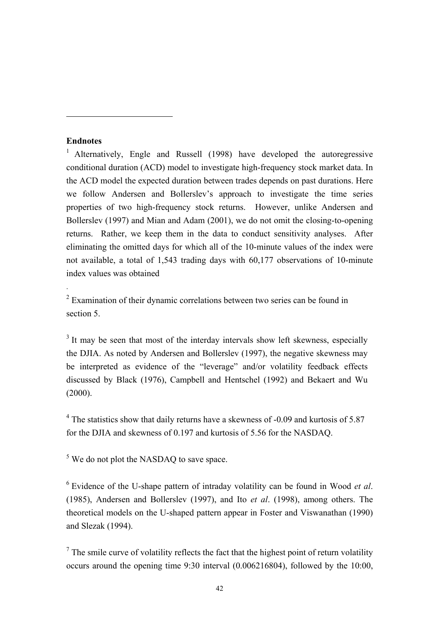#### **Endnotes**

 $\overline{a}$ 

.

<sup>1</sup> Alternatively, Engle and Russell (1998) have developed the autoregressive conditional duration (ACD) model to investigate high-frequency stock market data. In the ACD model the expected duration between trades depends on past durations. Here we follow Andersen and Bollerslev's approach to investigate the time series properties of two high-frequency stock returns. However, unlike Andersen and Bollerslev (1997) and Mian and Adam (2001), we do not omit the closing-to-opening returns. Rather, we keep them in the data to conduct sensitivity analyses. After eliminating the omitted days for which all of the 10-minute values of the index were not available, a total of 1,543 trading days with 60,177 observations of 10-minute index values was obtained

 $2$  Examination of their dynamic correlations between two series can be found in section 5.

<sup>3</sup> It may be seen that most of the interday intervals show left skewness, especially the DJIA. As noted by Andersen and Bollerslev (1997), the negative skewness may be interpreted as evidence of the "leverage" and/or volatility feedback effects discussed by Black (1976), Campbell and Hentschel (1992) and Bekaert and Wu  $(2000)$ .

 $4$  The statistics show that daily returns have a skewness of -0.09 and kurtosis of 5.87 for the DJIA and skewness of 0.197 and kurtosis of 5.56 for the NASDAQ.

 $<sup>5</sup>$  We do not plot the NASDAQ to save space.</sup>

6 Evidence of the U-shape pattern of intraday volatility can be found in Wood *et al*. (1985), Andersen and Bollerslev (1997), and Ito *et al*. (1998), among others. The theoretical models on the U-shaped pattern appear in Foster and Viswanathan (1990) and Slezak (1994).

 $<sup>7</sup>$  The smile curve of volatility reflects the fact that the highest point of return volatility</sup> occurs around the opening time 9:30 interval (0.006216804), followed by the 10:00,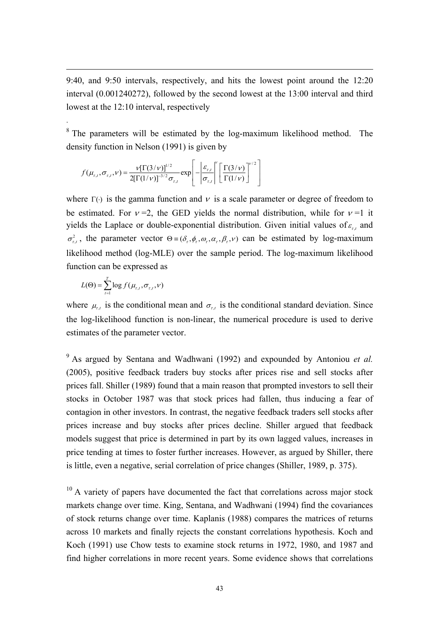9:40, and 9:50 intervals, respectively, and hits the lowest point around the 12:20 interval (0.001240272), followed by the second lowest at the 13:00 interval and third lowest at the 12:10 interval, respectively

<sup>8</sup> The parameters will be estimated by the log-maximum likelihood method. The density function in Nelson (1991) is given by

$$
f(\mu_{\tau,t}, \sigma_{\tau,t}, \nu) = \frac{\nu [\Gamma(3/\nu)]^{1/2}}{2[\Gamma(1/\nu)]^{-3/2} \sigma_{\tau,t}} \exp \left[-\left|\frac{\varepsilon_{\tau,t}}{\sigma_{\tau,t}}\right|^\nu \left[\frac{\Gamma(3/\nu)}{\Gamma(1/\nu)}\right]^{1/2}\right]
$$

where  $\Gamma$  ( $\cdot$ ) is the gamma function and v is a scale parameter or degree of freedom to be estimated. For  $v = 2$ , the GED yields the normal distribution, while for  $v = 1$  it yields the Laplace or double-exponential distribution. Given initial values of  $\varepsilon_{t}$  and  $\sigma_{\tau}^2$ , the parameter vector  $\Theta = (\delta_{\tau}, \phi_{\tau}, \omega_{\tau}, \alpha_{\tau}, \beta_{\tau}, \nu)$  can be estimated by log-maximum likelihood method (log-MLE) over the sample period. The log-maximum likelihood function can be expressed as

$$
L(\Theta) = \sum_{t=1}^{T} \log f(\mu_{r,t}, \sigma_{r,t}, \nu)
$$

1

.

where  $\mu_{t,t}$  is the conditional mean and  $\sigma_{t,t}$  is the conditional standard deviation. Since the log-likelihood function is non-linear, the numerical procedure is used to derive estimates of the parameter vector.

9 As argued by Sentana and Wadhwani (1992) and expounded by Antoniou *et al.* (2005), positive feedback traders buy stocks after prices rise and sell stocks after prices fall. Shiller (1989) found that a main reason that prompted investors to sell their stocks in October 1987 was that stock prices had fallen, thus inducing a fear of contagion in other investors. In contrast, the negative feedback traders sell stocks after prices increase and buy stocks after prices decline. Shiller argued that feedback models suggest that price is determined in part by its own lagged values, increases in price tending at times to foster further increases. However, as argued by Shiller, there is little, even a negative, serial correlation of price changes (Shiller, 1989, p. 375).

 $10$  A variety of papers have documented the fact that correlations across major stock markets change over time. King, Sentana, and Wadhwani (1994) find the covariances of stock returns change over time. Kaplanis (1988) compares the matrices of returns across 10 markets and finally rejects the constant correlations hypothesis. Koch and Koch (1991) use Chow tests to examine stock returns in 1972, 1980, and 1987 and find higher correlations in more recent years. Some evidence shows that correlations